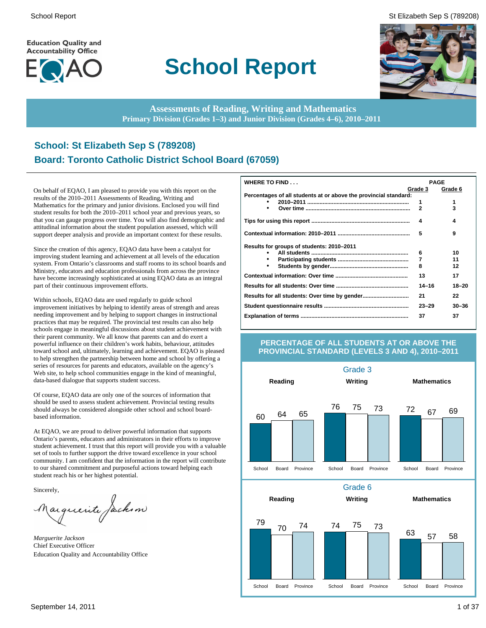**Education Quality and Accountability Office** 



# **School Report**

School Report St Elizabeth Sep S (789208)



**Assessments of Reading, Writing and Mathematics Primary Division (Grades 1–3) and Junior Division (Grades 4–6), 2010–2011**

# **School: St Elizabeth Sep S (789208) Board: Toronto Catholic District School Board (67059)**

On behalf of EQAO, I am pleased to provide you with this report on the results of the 2010–2011 Assessments of Reading, Writing and Mathematics for the primary and junior divisions. Enclosed you will find student results for both the 2010–2011 school year and previous years, so that you can gauge progress over time. You will also find demographic and attitudinal information about the student population assessed, which will support deeper analysis and provide an important context for these results.

Since the creation of this agency, EQAO data have been a catalyst for improving student learning and achievement at all levels of the education system. From Ontario's classrooms and staff rooms to its school boards and Ministry, educators and education professionals from across the province have become increasingly sophisticated at using EQAO data as an integral part of their continuous improvement efforts.

Within schools, EQAO data are used regularly to guide school improvement initiatives by helping to identify areas of strength and areas needing improvement and by helping to support changes in instructional practices that may be required. The provincial test results can also help schools engage in meaningful discussions about student achievement with their parent community. We all know that parents can and do exert a powerful influence on their children's work habits, behaviour, attitudes toward school and, ultimately, learning and achievement. EQAO is pleased to help strengthen the partnership between home and school by offering a series of resources for parents and educators, available on the agency's Web site, to help school communities engage in the kind of meaningful, data-based dialogue that supports student success.

Of course, EQAO data are only one of the sources of information that should be used to assess student achievement. Provincial testing results should always be considered alongside other school and school boardbased information.

At EQAO, we are proud to deliver powerful information that supports Ontario's parents, educators and administrators in their efforts to improve student achievement. I trust that this report will provide you with a valuable set of tools to further support the drive toward excellence in your school community. I am confident that the information in the report will contribute to our shared commitment and purposeful actions toward helping each student reach his or her highest potential.

Sincerely,

arguerite Jackson

*Marguerite Jackson* Chief Executive Officer Education Quality and Accountability Office

| WHERE TO FIND                                                    |           | <b>PAGE</b> |
|------------------------------------------------------------------|-----------|-------------|
|                                                                  | Grade 3   | Grade 6     |
| Percentages of all students at or above the provincial standard: |           |             |
|                                                                  | 1         | 1           |
|                                                                  | 2         | 3           |
|                                                                  | 4         | 4           |
|                                                                  | 5         | 9           |
| Results for groups of students: 2010-2011                        |           |             |
|                                                                  | 6         | 10          |
|                                                                  | 7         | 11          |
|                                                                  | 8         | 12          |
|                                                                  | 13        | 17          |
|                                                                  | $14 - 16$ | $18 - 20$   |
|                                                                  | 21        | 22          |
|                                                                  | $23 - 29$ | $30 - 36$   |
|                                                                  | 37        | 37          |

#### **PERCENTAGE OF ALL STUDENTS AT OR ABOVE THE PROVINCIAL STANDARD (LEVELS 3 AND 4), 2010–2011**

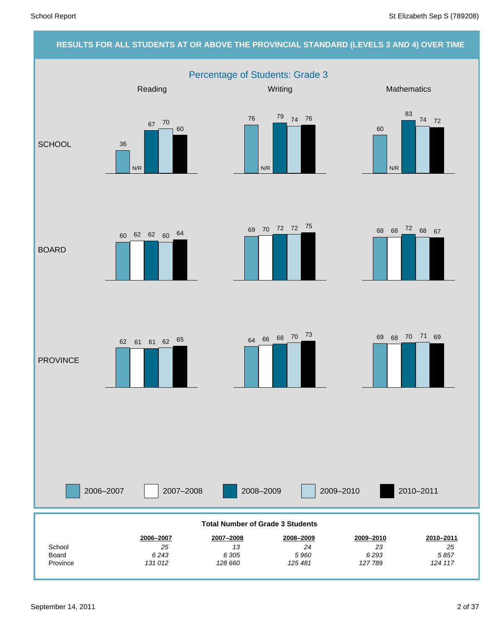# **RESULTS FOR ALL STUDENTS AT OR ABOVE THE PROVINCIAL STANDARD (LEVELS 3 AND 4) OVER TIME** Percentage of Students: Grade 3 2006–2007 2007–2008 2008–2009 2009–2010 Reading Mathematics **Mathematics** Mathematics **Mathematics SCHOOL** BOARD **PROVINCE** 2010–2011 *25* **2010–2011** *23* **2009–2010** *24* **2008–2009** *13* **2007–2008** *25* **2006–2007 School Total Number of Grade 3 Students** 36 67 70 N/R 60 <sup>76</sup> <sup>79</sup> <sup>74</sup> 76 N/R 60 83 74 72 N/R <sup>68</sup> <sup>68</sup> <sup>72</sup> <sup>69</sup> <sup>68</sup> <sup>67</sup> <sup>70</sup> <sup>72</sup> <sup>72</sup> <sup>75</sup> 60 62 62 60 64 <sup>64</sup> <sup>66</sup> <sup>68</sup> <sup>70</sup> <sup>73</sup>  $62$   $61$   $61$   $62$   $65$   $63$   $64$   $66$   $68$   $70$   $73$   $69$   $68$   $70$   $71$   $69$

Province Board

*124 117 5 857*

*127 789 6 293*

*125 481 5 960*

*128 660 6 305*

*131 012 6 243*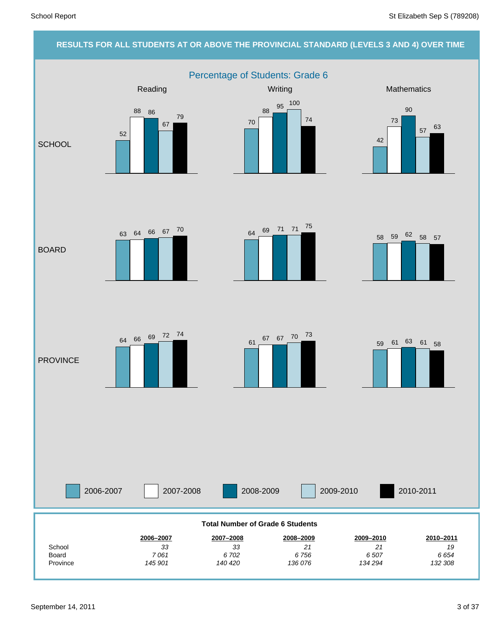# **RESULTS FOR ALL STUDENTS AT OR ABOVE THE PROVINCIAL STANDARD (LEVELS 3 AND 4) OVER TIME**

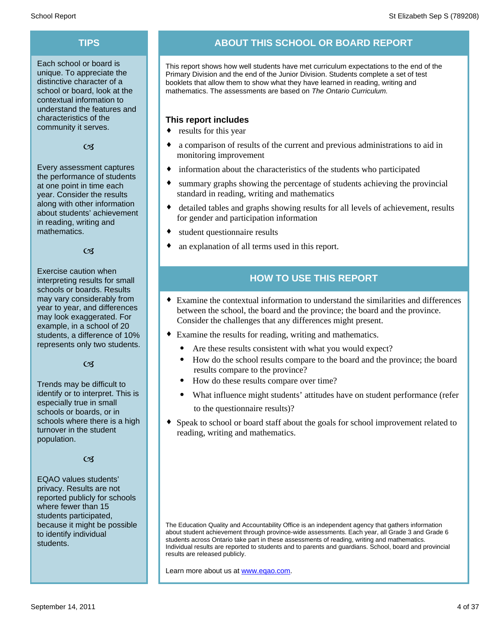Each school or board is unique. To appreciate the distinctive character of a school or board, look at the contextual information to understand the features and characteristics of the community it serves.

#### $C<sub>3</sub>$

Every assessment captures the performance of students at one point in time each year. Consider the results along with other information about students' achievement in reading, writing and mathematics.

#### $\alpha$

Exercise caution when interpreting results for small schools or boards. Results may vary considerably from year to year, and differences may look exaggerated. For example, in a school of 20 students, a difference of 10% represents only two students.

#### $C<sub>3</sub>$

Trends may be difficult to identify or to interpret. This is especially true in small schools or boards, or in schools where there is a high turnover in the student population.

#### $C<sub>3</sub>$

EQAO values students' privacy. Results are not reported publicly for schools where fewer than 15 students participated, because it might be possible to identify individual students.

# **TIPS ABOUT THIS SCHOOL OR BOARD REPORT**

This report shows how well students have met curriculum expectations to the end of the Primary Division and the end of the Junior Division. Students complete a set of test booklets that allow them to show what they have learned in reading, writing and mathematics. The assessments are based on *The Ontario Curriculum.*

### **This report includes**

- $\bullet$  results for this year
- a comparison of results of the current and previous administrations to aid in monitoring improvement
- information about the characteristics of the students who participated
- summary graphs showing the percentage of students achieving the provincial standard in reading, writing and mathematics
- detailed tables and graphs showing results for all levels of achievement, results for gender and participation information
- $\bullet$  student questionnaire results
- an explanation of all terms used in this report.

# **HOW TO USE THIS REPORT**

- ¨ Examine the contextual information to understand the similarities and differences between the school, the board and the province; the board and the province. Consider the challenges that any differences might present.
- Examine the results for reading, writing and mathematics.
	- Are these results consistent with what you would expect?
	- · How do the school results compare to the board and the province; the board results compare to the province?
	- · How do these results compare over time?
	- · What influence might students' attitudes have on student performance (refer to the questionnaire results)?
- Speak to school or board staff about the goals for school improvement related to reading, writing and mathematics.

The Education Quality and Accountability Office is an independent agency that gathers information about student achievement through province-wide assessments. Each year, all Grade 3 and Grade 6 students across Ontario take part in these assessments of reading, writing and mathematics. Individual results are reported to students and to parents and guardians. School, board and provincial results are released publicly.

Learn more about us at www.eqao.com.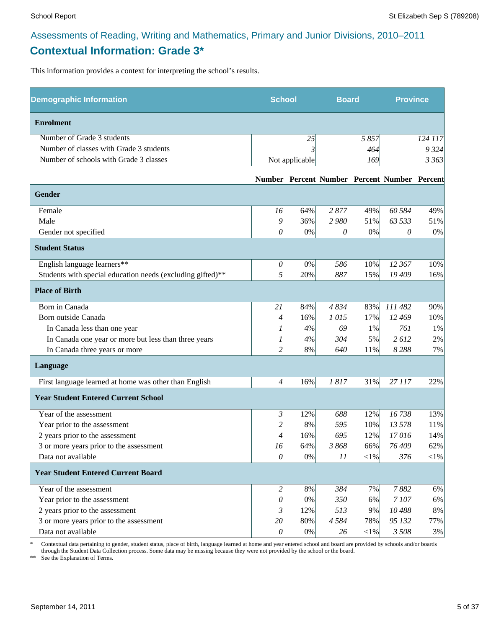# **Contextual Information: Grade 3\***

This information provides a context for interpreting the school's results.

| <b>Demographic Information</b>                             |                | <b>School</b>  |         | <b>Board</b> |                                              | <b>Province</b> |
|------------------------------------------------------------|----------------|----------------|---------|--------------|----------------------------------------------|-----------------|
| <b>Enrolment</b>                                           |                |                |         |              |                                              |                 |
| Number of Grade 3 students                                 |                | 25             |         | 5857         |                                              | 124 117         |
| Number of classes with Grade 3 students                    |                |                |         | 464          |                                              | 9 3 2 4         |
| Number of schools with Grade 3 classes                     |                | Not applicable |         | 169          |                                              | 3 36 3          |
|                                                            |                |                |         |              | Number Percent Number Percent Number Percent |                 |
| <b>Gender</b>                                              |                |                |         |              |                                              |                 |
| Female                                                     | 16             | 64%            | 2877    | 49%          | 60 584                                       | 49%             |
| Male                                                       | 9              | 36%            | 2980    | 51%          | 63 533                                       | 51%             |
| Gender not specified                                       | 0              | 0%             | 0       | $0\%$        | 0                                            | 0%              |
| <b>Student Status</b>                                      |                |                |         |              |                                              |                 |
| English language learners**                                | $\theta$       | 0%             | 586     | 10%          | 12 367                                       | 10%             |
| Students with special education needs (excluding gifted)** | 5              | 20%            | 887     | 15%          | 19 409                                       | 16%             |
| <b>Place of Birth</b>                                      |                |                |         |              |                                              |                 |
| Born in Canada                                             | 21             | 84%            | 4834    | 83%          | 111 482                                      | 90%             |
| Born outside Canada                                        | 4              | 16%            | 1015    | 17%          | 12 469                                       | 10%             |
| In Canada less than one year                               | 1              | 4%             | 69      | 1%           | 761                                          | 1%              |
| In Canada one year or more but less than three years       | 1              | 4%             | 304     | 5%           | 2612                                         | 2%              |
| In Canada three years or more                              | $\overline{c}$ | 8%             | 640     | 11%          | 8288                                         | 7%              |
| Language                                                   |                |                |         |              |                                              |                 |
| First language learned at home was other than English      | $\overline{4}$ | 16%            | 1817    | 31%          | 27 117                                       | 22%             |
| <b>Year Student Entered Current School</b>                 |                |                |         |              |                                              |                 |
| Year of the assessment                                     | 3              | 12%            | 688     | 12%          | 16738                                        | 13%             |
| Year prior to the assessment                               | 2              | 8%             | 595     | 10%          | 13 578                                       | 11%             |
| 2 years prior to the assessment                            | $\overline{4}$ | 16%            | 695     | 12%          | 17016                                        | 14%             |
| 3 or more years prior to the assessment                    | 16             | 64%            | 3868    | 66%          | 76 409                                       | 62%             |
| Data not available                                         | $\mathcal O$   | $0\%$          | 11      | $<\!\!1\%$   | 376                                          | $<\!\!1\%$      |
| <b>Year Student Entered Current Board</b>                  |                |                |         |              |                                              |                 |
| Year of the assessment                                     | $\overline{2}$ | 8%             | 384     | 7%           | 7882                                         | 6%              |
| Year prior to the assessment                               | 0              | 0%             | 350     | 6%           | 7107                                         | 6%              |
| 2 years prior to the assessment                            | 3              | 12%            | 513     | 9%           | 10488                                        | $8\%$           |
| 3 or more years prior to the assessment                    | 20             | 80%            | 4 5 8 4 | 78%          | 95 132                                       | 77%             |
| Data not available                                         | $\theta$       | $0\%$          | 26      | $<$ 1%       | 3 508                                        | 3%              |

\* Contextual data pertaining to gender, student status, place of birth, language learned at home and year entered school and board are provided by schools and/or boards through the Student Data Collection process. Some data may be missing because they were not provided by the school or the board.

\*\* See the Explanation of Terms.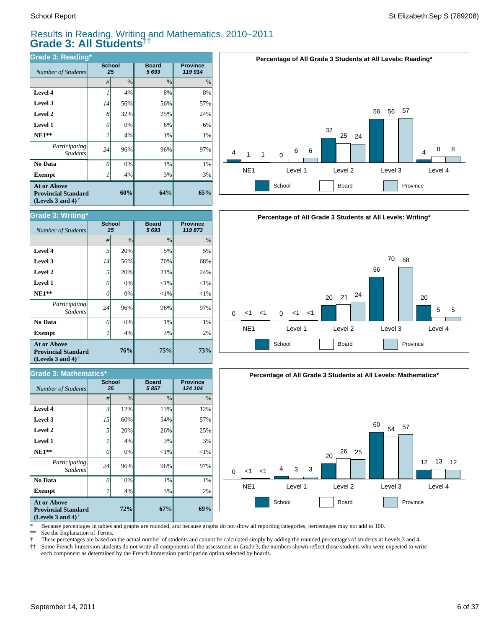# Results in Reading, Writing and Mathematics, 2010–2011 **Grade 3: All Students††**

| Grade 3: Reading*                                                              |               |               |                      |                            |  |  |  |  |  |  |  |
|--------------------------------------------------------------------------------|---------------|---------------|----------------------|----------------------------|--|--|--|--|--|--|--|
| Number of Students                                                             | <b>School</b> | 25            | <b>Board</b><br>5693 | <b>Province</b><br>119 914 |  |  |  |  |  |  |  |
|                                                                                | #             | $\frac{0}{0}$ | $\frac{0}{0}$        | $\%$                       |  |  |  |  |  |  |  |
| Level 4                                                                        |               | 4%            | 8%                   | 8%                         |  |  |  |  |  |  |  |
| Level 3                                                                        | 14            | 56%           | 56%                  | 57%                        |  |  |  |  |  |  |  |
| Level 2                                                                        | 8             | 32%           | 25%                  | 24%                        |  |  |  |  |  |  |  |
| Level 1                                                                        | 0             | 0%            | 6%                   | 6%                         |  |  |  |  |  |  |  |
| $NE1**$                                                                        |               | 4%            | 1%                   | 1%                         |  |  |  |  |  |  |  |
| <i>Participating</i><br><b>Students</b>                                        | 24            | 96%           | 96%                  | 97%                        |  |  |  |  |  |  |  |
| No Data                                                                        | 0             | 0%            | 1%                   | 1%                         |  |  |  |  |  |  |  |
| <b>Exempt</b>                                                                  |               | 4%            | 3%                   | 3%                         |  |  |  |  |  |  |  |
| <b>At or Above</b><br><b>Provincial Standard</b><br>(Levels 3 and 4) $\bar{ }$ |               | 60%           | 64%                  | 65%                        |  |  |  |  |  |  |  |







\* Because percentages in tables and graphs are rounded, and because graphs do not show all reporting categories, percentages may not add to 100.

See the Explanation of Terms.

† These percentages are based on the actual number of students and cannot be calculated simply by adding the rounded percentages of students at Levels 3 and 4.

Some French Immersion students do not write all components of the assessment in Grade 3; the numbers shown reflect those students who were expected to write each component as determined by the French Immersion participation option selected by boards.

| (Leveis 3 and 4)                                 |          |                     |                      |                           |  |  |  |  |  |  |  |  |
|--------------------------------------------------|----------|---------------------|----------------------|---------------------------|--|--|--|--|--|--|--|--|
| Grade 3: Writing*                                |          |                     |                      |                           |  |  |  |  |  |  |  |  |
| Number of Students                               |          | <b>School</b><br>25 | <b>Board</b><br>5693 | <b>Province</b><br>119873 |  |  |  |  |  |  |  |  |
|                                                  | #        | $\frac{0}{0}$       | $\frac{0}{0}$        | $\%$                      |  |  |  |  |  |  |  |  |
| Level 4                                          | 5        | 20%                 | 5%                   | 5%                        |  |  |  |  |  |  |  |  |
| Level 3                                          | 14       | 56%                 | 70%                  | 68%                       |  |  |  |  |  |  |  |  |
| Level 2                                          | 5        | 20%                 | 21%                  | 24%                       |  |  |  |  |  |  |  |  |
| Level 1                                          | 0        | 0%                  | $<$ 1%               | $<$ 1%                    |  |  |  |  |  |  |  |  |
| $NE1**$                                          | 0        | 0%                  | $<$ 1%               | $<$ 1%                    |  |  |  |  |  |  |  |  |
| Participating<br><b>Students</b>                 | 24       | 96%                 | 96%                  | 97%                       |  |  |  |  |  |  |  |  |
| No Data                                          | $\theta$ | 0%                  | 1%                   | 1%                        |  |  |  |  |  |  |  |  |
| <b>Exempt</b>                                    |          | 4%                  | 3%                   | 2%                        |  |  |  |  |  |  |  |  |
| <b>At or Above</b><br><b>Provincial Standard</b> |          | 76%                 | 75%                  | 73%                       |  |  |  |  |  |  |  |  |

**(Levels 3 and 4) †**

| <b>Grade 3: Mathematics*</b>                                                                         |                |                     |                       |                            |  |  |  |  |  |  |
|------------------------------------------------------------------------------------------------------|----------------|---------------------|-----------------------|----------------------------|--|--|--|--|--|--|
| Number of Students                                                                                   |                | <b>School</b><br>25 | <b>Board</b><br>5 857 | <b>Province</b><br>124 104 |  |  |  |  |  |  |
|                                                                                                      | #              | $\%$                | $\frac{0}{0}$         | $\frac{0}{0}$              |  |  |  |  |  |  |
| Level 4                                                                                              | $\overline{3}$ | 12%                 | 13%                   | 12%                        |  |  |  |  |  |  |
| Level 3                                                                                              | 15             | 60%                 | 54%                   | 57%                        |  |  |  |  |  |  |
| Level 2                                                                                              | 5              | 20%                 | 26%                   | 25%                        |  |  |  |  |  |  |
| Level 1                                                                                              |                | 4%                  | 3%                    | 3%                         |  |  |  |  |  |  |
| $NE1**$                                                                                              | 0              | 0%                  | $<$ 1%                | $<$ 1%                     |  |  |  |  |  |  |
| Participating<br><b>Students</b>                                                                     | 24             | 96%                 | 96%                   | 97%                        |  |  |  |  |  |  |
| No Data                                                                                              | $\Omega$       | 0%                  | 1%                    | 1%                         |  |  |  |  |  |  |
| <b>Exempt</b>                                                                                        |                | 4%                  | 3%                    | 2%                         |  |  |  |  |  |  |
| <b>At or Above</b><br><b>Provincial Standard</b><br>(Levels 3 and 4) <sup><math>\dagger</math></sup> |                | 67%                 | 69%                   |                            |  |  |  |  |  |  |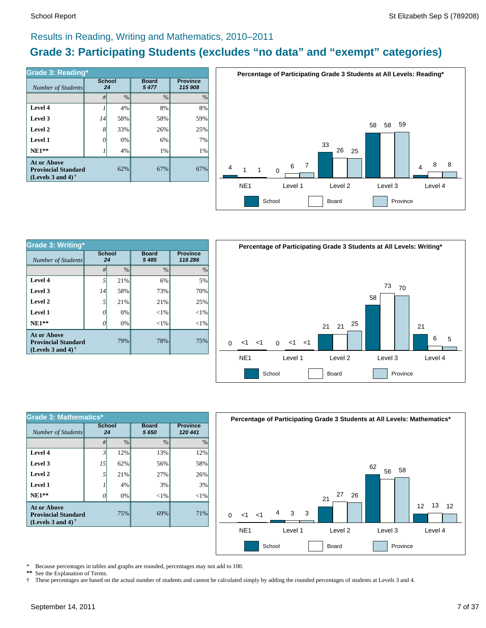# Results in Reading, Writing and Mathematics, 2010–2011

# **Grade 3: Participating Students (excludes "no data" and "exempt" categories)**

| Number of Students                                                             | <b>School</b> | 24            | <b>Board</b><br>5477 | <b>Province</b><br>115 908 |  |  |
|--------------------------------------------------------------------------------|---------------|---------------|----------------------|----------------------------|--|--|
|                                                                                | #             | $\frac{0}{0}$ | $\frac{0}{0}$        | $\frac{0}{0}$              |  |  |
| Level 4                                                                        |               | 4%            | 8%                   | 8%                         |  |  |
| Level 3                                                                        | 14            | 58%           | 58%                  | 59%                        |  |  |
| Level 2                                                                        | 8             | 33%           | 26%                  | 25%                        |  |  |
| Level 1                                                                        |               | 0%            | 6%                   | 7%                         |  |  |
| $NE1**$                                                                        |               | 4%            | 1%                   | 1%                         |  |  |
| <b>At or Above</b><br><b>Provincial Standard</b><br>(Levels 3 and 4) $\dagger$ |               | 62%           | 67%                  | 67%                        |  |  |



| Grade 3: Writing*                                                       |                     |       |                         |                            |  |                 | Percentage of |          |
|-------------------------------------------------------------------------|---------------------|-------|-------------------------|----------------------------|--|-----------------|---------------|----------|
| Number of Students                                                      | <b>School</b><br>24 |       | <b>Board</b><br>5 4 8 5 | <b>Province</b><br>116 286 |  |                 |               |          |
|                                                                         | #                   | $\%$  | $\frac{0}{0}$           | $\frac{0}{0}$              |  |                 |               |          |
| Level 4                                                                 |                     | 21%   | 6%                      | 5%                         |  |                 |               |          |
| Level 3                                                                 | 14                  | 58%   | 73%                     | 70%                        |  |                 |               |          |
| Level 2                                                                 |                     | 21%   | 21%                     | 25%                        |  |                 |               |          |
| Level 1                                                                 | 0                   | 0%    | ${<}1\%$                | ${<}1\%$                   |  |                 |               |          |
| $NE1**$                                                                 | 0                   | $0\%$ | ${<}1\%$                | ${<}1\%$                   |  |                 |               |          |
| At or Above<br><b>Provincial Standard</b><br>(Levels 3 and 4) $\dagger$ |                     | 79%   | 78%                     | 75%                        |  | ا><br>$\Omega$  | ا>            | $\Omega$ |
|                                                                         |                     |       |                         |                            |  | NE <sub>1</sub> |               |          |



| <b>Grade 3: Mathematics*</b>                                                   |              |               |                         |                            |  |  |  |  |  |  |
|--------------------------------------------------------------------------------|--------------|---------------|-------------------------|----------------------------|--|--|--|--|--|--|
| Number of Students                                                             | School<br>24 |               | <b>Board</b><br>5 6 5 0 | <b>Province</b><br>120 441 |  |  |  |  |  |  |
|                                                                                | #            | $\frac{0}{0}$ | $\frac{0}{0}$           | $\frac{0}{0}$              |  |  |  |  |  |  |
| Level 4                                                                        | 3            | 12%           | 13%                     | 12%                        |  |  |  |  |  |  |
| Level 3                                                                        | 15           | 62%           | 56%                     | 58%                        |  |  |  |  |  |  |
| Level 2                                                                        | 5            | 21%           | 27%                     | 26%                        |  |  |  |  |  |  |
| Level 1                                                                        |              | 4%            | 3%                      | 3%                         |  |  |  |  |  |  |
| $NE1**$                                                                        | O            | 0%            | ${<}1\%$                | $<$ 1%                     |  |  |  |  |  |  |
| <b>At or Above</b><br><b>Provincial Standard</b><br>(Levels 3 and 4) $\dagger$ | 69%          | 71%           |                         |                            |  |  |  |  |  |  |



\* Because percentages in tables and graphs are rounded, percentages may not add to 100.<br>\*\* See the Explanation of Terms See the Explanation of Terms.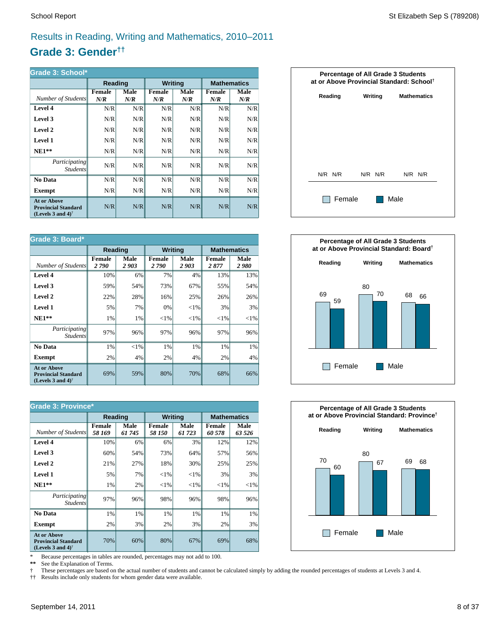# Results in Reading, Writing and Mathematics, 2010–2011

# **Grade 3: Gender††**

| Grade 3: School*                                                                                     |                      |             |                      |             |                      |             |  |  |  |  |
|------------------------------------------------------------------------------------------------------|----------------------|-------------|----------------------|-------------|----------------------|-------------|--|--|--|--|
|                                                                                                      | Reading              |             | <b>Writing</b>       |             | <b>Mathematics</b>   |             |  |  |  |  |
| Number of Students                                                                                   | <b>Female</b><br>N/R | Male<br>N/R | <b>Female</b><br>N/R | Male<br>N/R | <b>Female</b><br>N/R | Male<br>N/R |  |  |  |  |
| Level 4                                                                                              | N/R                  | N/R         | N/R                  | N/R         | N/R                  | N/R         |  |  |  |  |
| Level 3                                                                                              | N/R                  | N/R         | N/R                  | N/R         | N/R                  | N/R         |  |  |  |  |
| Level 2                                                                                              | N/R                  | N/R         | N/R                  | N/R         | N/R                  | N/R         |  |  |  |  |
| Level 1                                                                                              | N/R                  | N/R         | N/R                  | N/R         | N/R                  | N/R         |  |  |  |  |
| $NE1**$                                                                                              | N/R                  | N/R         | N/R                  | N/R         | N/R                  | N/R         |  |  |  |  |
| <i>Participating</i><br><b>Students</b>                                                              | N/R                  | N/R         | N/R                  | N/R         | N/R                  | N/R         |  |  |  |  |
| No Data                                                                                              | N/R                  | N/R         | N/R                  | N/R         | N/R                  | N/R         |  |  |  |  |
| <b>Exempt</b>                                                                                        | N/R                  | N/R         | N/R                  | N/R         | N/R                  | N/R         |  |  |  |  |
| <b>At or Above</b><br><b>Provincial Standard</b><br>(Levels 3 and 4) <sup><math>\dagger</math></sup> | N/R                  | N/R         | N/R                  | N/R         | N/R                  | N/R         |  |  |  |  |

| Grade 3: Board*                                                                |                       |              |                       |                |                       |              |  |  |  |  |
|--------------------------------------------------------------------------------|-----------------------|--------------|-----------------------|----------------|-----------------------|--------------|--|--|--|--|
|                                                                                | Reading               |              |                       | <b>Writing</b> | <b>Mathematics</b>    |              |  |  |  |  |
| Number of Students                                                             | <b>Female</b><br>2790 | Male<br>2903 | <b>Female</b><br>2790 | Male<br>2903   | <b>Female</b><br>2877 | Male<br>2980 |  |  |  |  |
| Level 4                                                                        | 10%                   | 6%           | 7%                    | 4%             | 13%                   | 13%          |  |  |  |  |
| Level 3                                                                        | 59%                   | 54%          | 73%                   | 67%            | 55%                   | 54%          |  |  |  |  |
| Level 2                                                                        | 22%                   | 28%          | 16%                   | 25%            | 26%                   | 26%          |  |  |  |  |
| <b>Level 1</b>                                                                 | 5%                    | 7%           | 0%                    | ${<}1\%$       | 3%                    | 3%           |  |  |  |  |
| $NE1**$                                                                        | 1%                    | 1%           | ${<}1\%$              | ${<}1\%$       | ${<}1\%$              | ${<}1\%$     |  |  |  |  |
| <i>Participating</i><br><i>Students</i>                                        | 97%                   | 96%          | 97%                   | 96%            | 97%                   | 96%          |  |  |  |  |
| No Data                                                                        | 1%                    | ${<}1\%$     | 1%                    | 1%             | 1%                    | $1\%$        |  |  |  |  |
| <b>Exempt</b>                                                                  | 2%                    | 4%           | 2%                    | 4%             | 2%                    | $4\%$        |  |  |  |  |
| <b>At or Above</b><br><b>Provincial Standard</b><br>(Levels 3 and 4) $\dagger$ | 69%                   | 59%          | 80%                   | 70%            | 68%                   | 66%          |  |  |  |  |

| <b>Grade 3: Province*</b>                                                                            |                         |                |                         |                |                         |                |  |  |  |
|------------------------------------------------------------------------------------------------------|-------------------------|----------------|-------------------------|----------------|-------------------------|----------------|--|--|--|
|                                                                                                      | <b>Reading</b>          |                | <b>Writing</b>          |                | <b>Mathematics</b>      |                |  |  |  |
| Number of Students                                                                                   | <b>Female</b><br>58 169 | Male<br>61 745 | <b>Female</b><br>58 150 | Male<br>61 723 | <b>Female</b><br>60 578 | Male<br>63 526 |  |  |  |
| Level 4                                                                                              | 10%                     | 6%             | 6%                      | 3%             | 12%                     | 12%            |  |  |  |
| Level 3                                                                                              | 60%                     | 54%            | 73%                     | 64%            | 57%                     | 56%            |  |  |  |
| Level 2                                                                                              | 21%                     | 27%            | 18%                     | 30%            | 25%                     | 25%            |  |  |  |
| Level 1                                                                                              | 5%                      | 7%             | ${<}1\%$                | ${<}1\%$       | 3%                      | 3%             |  |  |  |
| $NE1**$                                                                                              | 1%                      | 2%             | ${<}1\%$                | ${<}1\%$       | ${<}1\%$                | ${<}1\%$       |  |  |  |
| <i>Participating</i><br><i>Students</i>                                                              | 97%                     | 96%            | 98%                     | 96%            | 98%                     | 96%            |  |  |  |
| No Data                                                                                              | 1%                      | 1%             | 1%                      | 1%             | 1%                      | 1%             |  |  |  |
| <b>Exempt</b>                                                                                        | 2%                      | 3%             | 2%                      | 3%             | 2%                      | 3%             |  |  |  |
| <b>At or Above</b><br><b>Provincial Standard</b><br>(Levels 3 and 4) <sup><math>\dagger</math></sup> | 70%                     | 60%            | 80%                     | 67%            | 69%                     | 68%            |  |  |  |

\* Because percentages in tables are rounded, percentages may not add to 100.<br>\*\* See the Explanation of Terms.

See the Explanation of Terms.

† These percentages are based on the actual number of students and cannot be calculated simply by adding the rounded percentages of students at Levels 3 and 4.<br>†† Results include only students for whom gender data were ava

†† Results include only students for whom gender data were available.





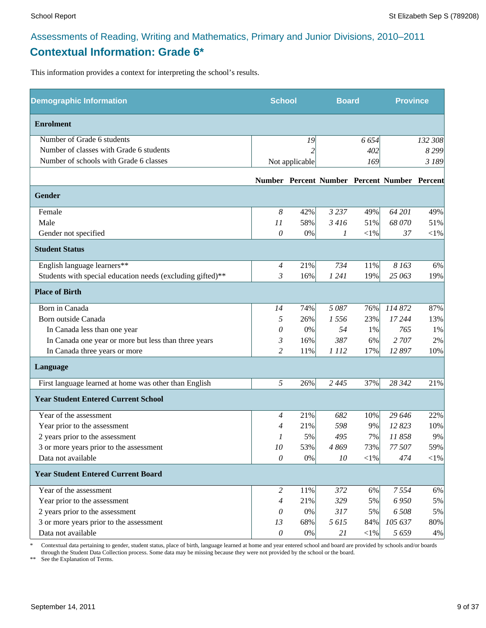# Assessments of Reading, Writing and Mathematics, Primary and Junior Divisions, 2010–2011 **Contextual Information: Grade 6\***

This information provides a context for interpreting the school's results.

| <b>Demographic Information</b>                             |                | <b>School</b>            |         | <b>Board</b> |                                              | <b>Province</b> |
|------------------------------------------------------------|----------------|--------------------------|---------|--------------|----------------------------------------------|-----------------|
| <b>Enrolment</b>                                           |                |                          |         |              |                                              |                 |
| Number of Grade 6 students                                 |                | 19                       |         | 6 6 5 4      |                                              | 132 308         |
| Number of classes with Grade 6 students                    |                | $\overline{\mathcal{L}}$ |         | 402          |                                              | 8 2 9 9         |
| Number of schools with Grade 6 classes                     |                | Not applicable           |         | 169          |                                              | 3 189           |
|                                                            |                |                          |         |              | Number Percent Number Percent Number Percent |                 |
| <b>Gender</b>                                              |                |                          |         |              |                                              |                 |
| Female                                                     | 8              | 42%                      | 3 2 3 7 | 49%          | 64 201                                       | 49%             |
| Male                                                       | 11             | 58%                      | 3 4 16  | 51%          | 68 070                                       | 51%             |
| Gender not specified                                       | 0              | 0%                       | 1       | $<\!\!1\%$   | 37                                           | $<$ 1%          |
| <b>Student Status</b>                                      |                |                          |         |              |                                              |                 |
| English language learners**                                | $\overline{4}$ | 21%                      | 734     | 11%          | 8 1 6 3                                      | 6%              |
| Students with special education needs (excluding gifted)** | 3              | 16%                      | 1 2 4 1 | 19%          | 25 063                                       | 19%             |
| <b>Place of Birth</b>                                      |                |                          |         |              |                                              |                 |
| Born in Canada                                             | 14             | 74%                      | 5087    | 76%          | 114 872                                      | 87%             |
| Born outside Canada                                        | 5              | 26%                      | 1556    | 23%          | 17 244                                       | 13%             |
| In Canada less than one year                               | 0              | 0%                       | 54      | 1%           | 765                                          | 1%              |
| In Canada one year or more but less than three years       | 3              | 16%                      | 387     | 6%           | 2 707                                        | 2%              |
| In Canada three years or more                              | $\overline{c}$ | 11%                      | 1 1 1 2 | 17%          | 12 897                                       | 10%             |
| Language                                                   |                |                          |         |              |                                              |                 |
| First language learned at home was other than English      | 5              | 26%                      | 2 4 4 5 | 37%          | 28 342                                       | 21%             |
| <b>Year Student Entered Current School</b>                 |                |                          |         |              |                                              |                 |
| Year of the assessment                                     | 4              | 21%                      | 682     | 10%          | 29 646                                       | 22%             |
| Year prior to the assessment                               | $\overline{4}$ | 21%                      | 598     | 9%           | 12823                                        | 10%             |
| 2 years prior to the assessment                            | 1              | 5%                       | 495     | 7%           | 11858                                        | 9%              |
| 3 or more years prior to the assessment                    | 10             | 53%                      | 4869    | 73%          | 77 507                                       | 59%             |
| Data not available                                         | $\mathcal O$   | $0\%$                    | 10      | $<\!\!1\%$   | 474                                          | $<\!\!1\%$      |
| <b>Year Student Entered Current Board</b>                  |                |                          |         |              |                                              |                 |
| Year of the assessment                                     | 2              | 11%                      | 372     | 6%           | 7554                                         | 6%              |
| Year prior to the assessment                               | $\overline{4}$ | 21%                      | 329     | 5%           | 6 9 5 0                                      | 5%              |
| 2 years prior to the assessment                            | 0              | 0%                       | 317     | 5%           | 6 508                                        | 5%              |
| 3 or more years prior to the assessment                    | 13             | 68%                      | 5615    | 84%          | 105 637                                      | 80%             |
| Data not available                                         | $\mathcal O$   | $0\%$                    | 21      | $<$ 1%       | 5659                                         | 4%              |

\* Contextual data pertaining to gender, student status, place of birth, language learned at home and year entered school and board are provided by schools and/or boards through the Student Data Collection process. Some data may be missing because they were not provided by the school or the board.

\*\* See the Explanation of Terms.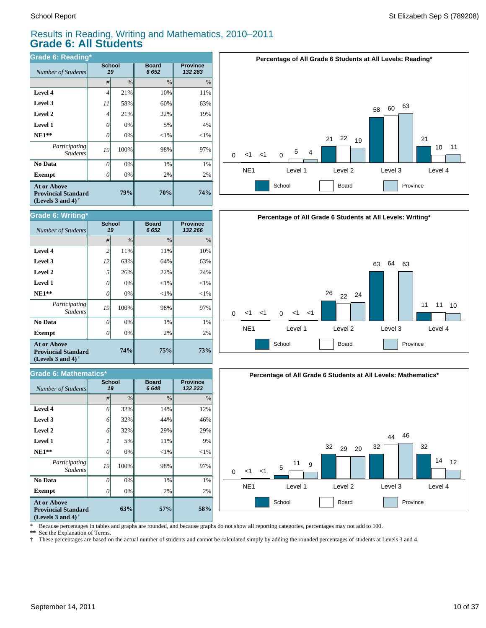*Number of Students* 

**Grade 6: Writing\***

## Results in Reading, Writing and Mathematics, 2010–2011 **Grade 6: All Students**

*#* % % %

**75%**

29% 44% 14%

**Board** *6 648*

2% 1% 98%  $<$ 1%  $< 1%$ 22% 64% 11%

**Board** *6 652*

**Province** *132 266*

**73%**

29% 46%

**Province** *132 223*

2% 1% 97%  $<$ 1%  $< 1%$ 24% 63% 10%

| Grade 6: Reading*                                                                                           |                     |      |                      |                            |  |  |  |
|-------------------------------------------------------------------------------------------------------------|---------------------|------|----------------------|----------------------------|--|--|--|
| Number of Students                                                                                          | <b>School</b><br>19 |      | <b>Board</b><br>6652 | <b>Province</b><br>132 283 |  |  |  |
|                                                                                                             | $\frac{0}{0}$<br>#  |      | $\frac{0}{0}$        | $\%$                       |  |  |  |
| Level 4                                                                                                     | 4                   | 21%  | 10%                  | 11%                        |  |  |  |
| Level 3                                                                                                     | 11                  | 58%  | 60%                  | 63%                        |  |  |  |
| Level 2                                                                                                     | 4                   | 21%  | 22%                  | 19%                        |  |  |  |
| <b>Level 1</b>                                                                                              | 0                   | 0%   | 5%                   | 4%                         |  |  |  |
| $NE1**$                                                                                                     | 0                   | 0%   | $<$ 1%               | $<$ 1%                     |  |  |  |
| Participating<br><b>Students</b>                                                                            | 19                  | 100% | 98%                  | 97%                        |  |  |  |
| No Data                                                                                                     | 0                   | 0%   | 1%                   | 1%                         |  |  |  |
| <b>Exempt</b>                                                                                               |                     | 0%   | 2%                   | 2%                         |  |  |  |
| <b>At or Above</b><br>79%<br><b>Provincial Standard</b><br>(Levels 3 and 4) <sup><math>\dagger</math></sup> |                     |      | 70%                  | 74%                        |  |  |  |

**School**







| $NF1**$ |  |
|---------|--|
|---------|--|

**Exempt**  $\qquad$  0

*Number of Students 19*

**Grade 6: Mathematics\***

*Participating Students*

 **No Data**

 **Level 2 Level 3 Level 4**

**At or Above Provincial Standard (Levels 3 and 4) †**

 **NE1\*\* Level 1 Level 2 Level 3 Level 4**

**58%**  $20%$ 1% 97%  $<$ 1% 9% **57%**  $20/$ 1% 98%  $<$ 1% 11% **63%** 0% 0% 100% 0% 5% *0 19 0 1* **Exempt** *0*  **No Data** *Participating Students*  **NE1\*\* Level 1 At or Above Provincial Standard (Levels 3 and 4) †**

32% 32% 32%

**74%**

0% 0% 100% 0% 0% 26% 63% 11%

**School**

*6 6 6*

\* Because percentages in tables and graphs are rounded, and because graphs do not show all reporting categories, percentages may not add to 100.

**\*\*** See the Explanation of Terms.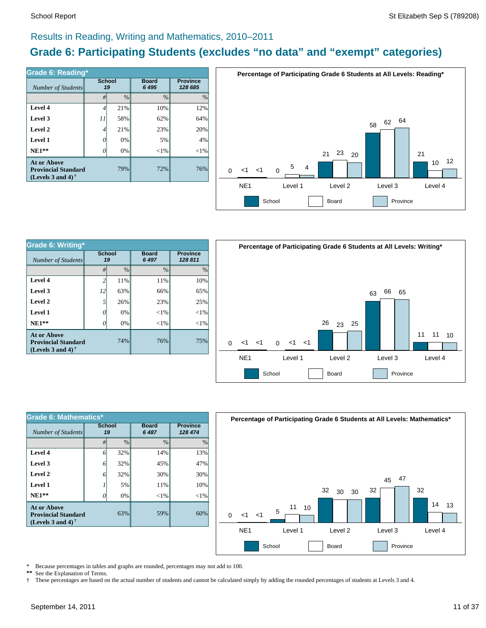# Results in Reading, Writing and Mathematics, 2010–2011

# **Grade 6: Participating Students (excludes "no data" and "exempt" categories)**

| Number of Students                                                             | <b>School</b><br>19 |      | <b>Board</b><br>6 4 9 5 | <b>Province</b><br>128 685 |
|--------------------------------------------------------------------------------|---------------------|------|-------------------------|----------------------------|
|                                                                                | #                   | $\%$ | $\frac{0}{0}$           | $\%$                       |
| Level 4                                                                        | 4                   | 21%  | 10%                     | 12%                        |
| Level 3                                                                        | 11                  | 58%  | 62%                     | 64%                        |
| Level 2                                                                        | 4                   | 21%  | 23%                     | 20%                        |
| Level 1                                                                        | 0                   | 0%   | 5%                      | 4%                         |
| $NE1**$                                                                        | O                   | 0%   | ${<}1\%$                | $<$ 1%                     |
| <b>At or Above</b><br><b>Provincial Standard</b><br>(Levels 3 and 4) $\dagger$ |                     | 79%  | 72%                     | 76%                        |



| Grade 6: Writing*                                                                                    |                     |               |                         |                            |  |  |  |
|------------------------------------------------------------------------------------------------------|---------------------|---------------|-------------------------|----------------------------|--|--|--|
| Number of Students                                                                                   | <b>School</b><br>19 |               | <b>Board</b><br>6 4 9 7 | <b>Province</b><br>128 811 |  |  |  |
|                                                                                                      | #                   | $\frac{0}{0}$ | $\frac{0}{0}$           | $\frac{0}{0}$              |  |  |  |
| Level 4                                                                                              | $\overline{c}$      | 11%           | 11%                     | 10%                        |  |  |  |
| Level 3                                                                                              | 12                  | 63%           | 66%                     | 65%                        |  |  |  |
| Level 2                                                                                              | 5                   | 26%           | 23%                     | 25%                        |  |  |  |
| Level 1                                                                                              | 0                   | 0%            | $<$ 1%                  | ${<}1\%$                   |  |  |  |
| $NE1**$                                                                                              |                     | 0%            | ${<}1\%$                | $<$ 1%                     |  |  |  |
| <b>At or Above</b><br><b>Provincial Standard</b><br>(Levels 3 and 4) <sup><math>\dagger</math></sup> |                     | 74%           | 76%                     | 75%                        |  |  |  |



| Grade 6: Mathematics*                                                                                |                     |               |                         |                            |  |  |  |
|------------------------------------------------------------------------------------------------------|---------------------|---------------|-------------------------|----------------------------|--|--|--|
| Number of Students                                                                                   | <b>School</b><br>19 |               | <b>Board</b><br>6 4 8 7 | <b>Province</b><br>128 474 |  |  |  |
|                                                                                                      | #                   | $\frac{0}{0}$ | $\frac{0}{0}$           | $\frac{0}{0}$              |  |  |  |
| Level 4                                                                                              | 6                   | 32%           | 14%                     | 13%                        |  |  |  |
| Level 3                                                                                              | 6                   | 32%           | 45%                     | 47%                        |  |  |  |
| Level 2                                                                                              | 6                   | 32%           | 30%                     | 30%                        |  |  |  |
| Level 1                                                                                              |                     | 5%            | 11%                     | 10%                        |  |  |  |
| $NE1**$                                                                                              |                     | 0%            | ${<}1\%$                | $<$ 1%                     |  |  |  |
| <b>At or Above</b><br><b>Provincial Standard</b><br>(Levels 3 and 4) <sup><math>\dagger</math></sup> |                     | 63%           | 59%                     | 60%                        |  |  |  |



\* Because percentages in tables and graphs are rounded, percentages may not add to 100.<br>\*\* See the Explanation of Terms See the Explanation of Terms.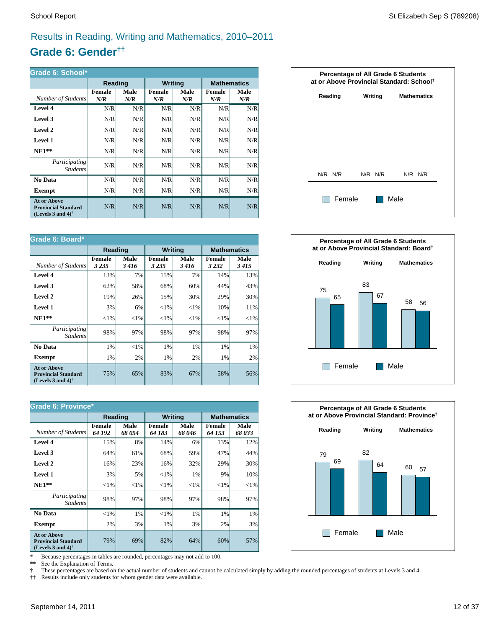# Results in Reading, Writing and Mathematics, 2010–2011

# **Grade 6: Gender††**

| Grade 6: School*                                                                                     |                      |             |                      |             |               |                    |  |  |
|------------------------------------------------------------------------------------------------------|----------------------|-------------|----------------------|-------------|---------------|--------------------|--|--|
|                                                                                                      | Reading              |             | <b>Writing</b>       |             |               | <b>Mathematics</b> |  |  |
| Number of Students                                                                                   | <b>Female</b><br>N/R | Male<br>N/R | <b>Female</b><br>N/R | Male<br>N/R | Female<br>N/R | Male<br>N/R        |  |  |
| Level 4                                                                                              | N/R                  | N/R         | N/R                  | N/R         | N/R           | N/R                |  |  |
| Level 3                                                                                              | N/R                  | N/R         | N/R                  | N/R         | N/R           | N/R                |  |  |
| Level 2                                                                                              | N/R                  | N/R         | N/R                  | N/R         | N/R           | N/R                |  |  |
| Level 1                                                                                              | N/R                  | N/R         | N/R                  | N/R         | N/R           | N/R                |  |  |
| $NE1**$                                                                                              | N/R                  | N/R         | N/R                  | N/R         | N/R           | N/R                |  |  |
| <i>Participating</i><br><i>Students</i>                                                              | N/R                  | N/R         | N/R                  | N/R         | N/R           | N/R                |  |  |
| No Data                                                                                              | N/R                  | N/R         | N/R                  | N/R         | N/R           | N/R                |  |  |
| Exempt                                                                                               | N/R                  | N/R         | N/R                  | N/R         | N/R           | N/R                |  |  |
| <b>At or Above</b><br><b>Provincial Standard</b><br>(Levels 3 and 4) <sup><math>\dagger</math></sup> | N/R                  | N/R         | N/R                  | N/R         | N/R           | N/R                |  |  |

| Grade 6: Board*                                                                |                          |              |                          |                |                   |                    |  |
|--------------------------------------------------------------------------------|--------------------------|--------------|--------------------------|----------------|-------------------|--------------------|--|
|                                                                                | Reading                  |              |                          | <b>Writing</b> |                   | <b>Mathematics</b> |  |
| Number of Students                                                             | <b>Female</b><br>3 2 3 5 | Male<br>3416 | <b>Female</b><br>3 2 3 5 | Male<br>3416   | Female<br>3 2 3 2 | Male<br>3415       |  |
| Level 4                                                                        | 13%                      | 7%           | 15%                      | 7%             | 14%               | 13%                |  |
| Level 3                                                                        | 62%                      | 58%          | 68%                      | 60%            | 44%               | 43%                |  |
| Level 2                                                                        | 19%                      | 26%          | 15%                      | 30%            | 29%               | 30%                |  |
| Level 1                                                                        | 3%                       | 6%           | ${<}1\%$                 | ${<}1\%$       | 10%               | 11%                |  |
| $NE1**$                                                                        | ${<}1\%$                 | ${<}1\%$     | ${<}1\%$                 | ${<}1\%$       | ${<}1\%$          | ${<}1\%$           |  |
| Participating<br><i>Students</i>                                               | 98%                      | 97%          | 98%                      | 97%            | 98%               | 97%                |  |
| No Data                                                                        | 1%                       | ${<}1\%$     | 1%                       | 1%             | 1%                | 1%                 |  |
| <b>Exempt</b>                                                                  | 1%                       | 2%           | 1%                       | 2%             | 1%                | 2%                 |  |
| <b>At or Above</b><br><b>Provincial Standard</b><br>(Levels 3 and 4) $\dagger$ | 75%                      | 65%          | 83%                      | 67%            | 58%               | 56%                |  |

| <b>Grade 6: Province*</b>                                                      |                         |               |                         |                |                         |                    |  |
|--------------------------------------------------------------------------------|-------------------------|---------------|-------------------------|----------------|-------------------------|--------------------|--|
|                                                                                | Reading                 |               | <b>Writing</b>          |                |                         | <b>Mathematics</b> |  |
| Number of Students                                                             | <b>Female</b><br>64 192 | Male<br>68054 | <b>Female</b><br>64 183 | Male<br>68 046 | <b>Female</b><br>64 153 | Male<br>68033      |  |
| Level 4                                                                        | 15%                     | 8%            | 14%                     | 6%             | 13%                     | 12%                |  |
| Level 3                                                                        | 64%                     | 61%           | 68%                     | 59%            | 47%                     | 44%                |  |
| Level 2                                                                        | 16%                     | 23%           | 16%                     | 32%            | 29%                     | 30%                |  |
| Level 1                                                                        | 3%                      | 5%            | ${<}1\%$                | 1%             | 9%                      | 10%                |  |
| $NE1**$                                                                        | ${<}1\%$                | ${<}1\%$      | ${<}1\%$                | ${<}1\%$       | ${<}1\%$                | ${<}1\%$           |  |
| <i>Participating</i><br><i>Students</i>                                        | 98%                     | 97%           | 98%                     | 97%            | 98%                     | 97%                |  |
| No Data                                                                        | $<$ 1%                  | 1%            | ${<}1\%$                | 1%             | 1%                      | 1%                 |  |
| <b>Exempt</b>                                                                  | 2%                      | 3%            | 1%                      | 3%             | 2%                      | 3%                 |  |
| <b>At or Above</b><br><b>Provincial Standard</b><br>(Levels 3 and 4) $\dagger$ | 79%                     | 69%           | 82%                     | 64%            | 60%                     | 57%                |  |

\* Because percentages in tables are rounded, percentages may not add to 100.<br>\*\* See the Explanation of Terms.

See the Explanation of Terms.

† These percentages are based on the actual number of students and cannot be calculated simply by adding the rounded percentages of students at Levels 3 and 4.<br>†† Results include only students for whom gender data were ava

†† Results include only students for whom gender data were available.





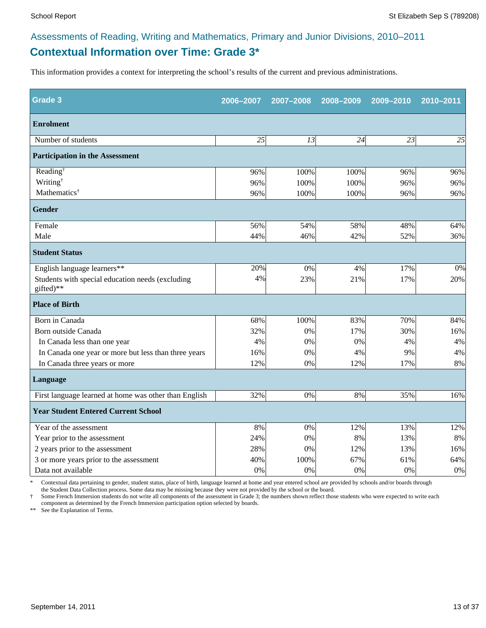# **Contextual Information over Time: Grade 3\*** Assessments of Reading, Writing and Mathematics, Primary and Junior Divisions, 2010–2011

This information provides a context for interpreting the school's results of the current and previous administrations.

| <b>Grade 3</b>                                                | 2006-2007 | 2007-2008 | 2008-2009 | 2009-2010 | 2010-2011 |
|---------------------------------------------------------------|-----------|-----------|-----------|-----------|-----------|
| <b>Enrolment</b>                                              |           |           |           |           |           |
| Number of students                                            | 25        | 13        | 24        | 23        | 25        |
| <b>Participation in the Assessment</b>                        |           |           |           |           |           |
| Reading <sup>†</sup>                                          | 96%       | 100%      | 100%      | 96%       | 96%       |
| Writing <sup>†</sup>                                          | 96%       | 100%      | 100%      | 96%       | 96%       |
| Mathematics <sup>†</sup>                                      | 96%       | 100%      | 100%      | 96%       | 96%       |
| <b>Gender</b>                                                 |           |           |           |           |           |
| Female                                                        | 56%       | 54%       | 58%       | 48%       | 64%       |
| Male                                                          | 44%       | 46%       | 42%       | 52%       | 36%       |
| <b>Student Status</b>                                         |           |           |           |           |           |
| English language learners**                                   | 20%       | 0%        | 4%        | 17%       | 0%        |
| Students with special education needs (excluding<br>gifted)** | 4%        | 23%       | 21%       | 17%       | 20%       |
| <b>Place of Birth</b>                                         |           |           |           |           |           |
| Born in Canada                                                | 68%       | 100%      | 83%       | 70%       | 84%       |
| Born outside Canada                                           | 32%       | 0%        | 17%       | 30%       | 16%       |
| In Canada less than one year                                  | 4%        | 0%        | 0%        | 4%        | 4%        |
| In Canada one year or more but less than three years          | 16%       | 0%        | 4%        | 9%        | 4%        |
| In Canada three years or more                                 | 12%       | 0%        | 12%       | 17%       | 8%        |
| Language                                                      |           |           |           |           |           |
| First language learned at home was other than English         | 32%       | 0%        | 8%        | 35%       | 16%       |
| <b>Year Student Entered Current School</b>                    |           |           |           |           |           |
| Year of the assessment                                        | 8%        | 0%        | 12%       | 13%       | 12%       |
| Year prior to the assessment                                  | 24%       | 0%        | 8%        | 13%       | 8%        |
| 2 years prior to the assessment                               | 28%       | 0%        | 12%       | 13%       | 16%       |
| 3 or more years prior to the assessment                       | 40%       | 100%      | 67%       | 61%       | 64%       |
| Data not available                                            | 0%        | 0%        | 0%        | 0%        | $0\%$     |

\* Contextual data pertaining to gender, student status, place of birth, language learned at home and year entered school are provided by schools and/or boards through the Student Data Collection process. Some data may be missing because they were not provided by the school or the board.

† Some French Immersion students do not write all components of the assessment in Grade 3; the numbers shown reflect those students who were expected to write each component as determined by the French Immersion participation option selected by boards.

\*\* See the Explanation of Terms.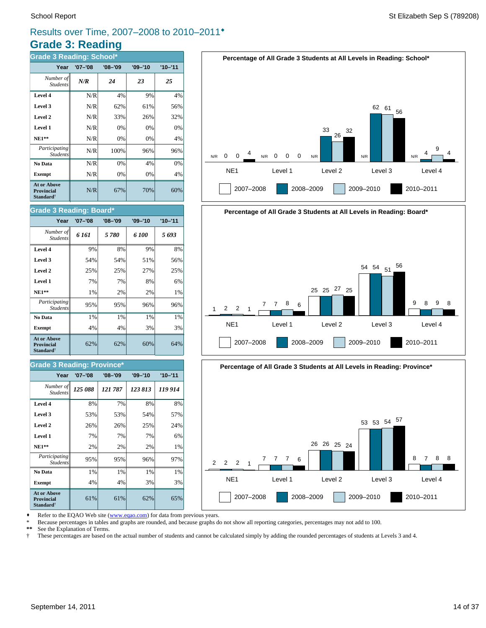# **Grade 3: Reading** Results over Time, 2007–2008 to 2010–2011®

| <b>Grade 3 Reading: School*</b>                                         |             |             |             |             |  |  |  |  |
|-------------------------------------------------------------------------|-------------|-------------|-------------|-------------|--|--|--|--|
| Year                                                                    | $'07 - '08$ | $'08 - '09$ | $'09 - '10$ | $'10 - '11$ |  |  |  |  |
| Number of<br><b>Students</b>                                            | N/R         | 24          | 23          | 25          |  |  |  |  |
| Level 4                                                                 | N/R         | 4%          | 9%          | 4%          |  |  |  |  |
| Level 3                                                                 | N/R         | 62%         | 61%         | 56%         |  |  |  |  |
| Level 2                                                                 | N/R         | 33%         | 26%         | 32%         |  |  |  |  |
| Level 1                                                                 | N/R         | 0%          | 0%          | 0%          |  |  |  |  |
| <b>NE1**</b>                                                            | N/R         | 0%          | 0%          | 4%          |  |  |  |  |
| Participating<br><b>Students</b>                                        | N/R         | 100%        | 96%         | 96%         |  |  |  |  |
| No Data                                                                 | N/R         | 0%          | 4%          | 0%          |  |  |  |  |
| <b>Exempt</b>                                                           | N/R         | 0%          | 0%          | 4%          |  |  |  |  |
| <b>At or Above</b><br><b>Provincial</b><br><b>Standard</b> <sup>†</sup> | N/R         | 67%         | 70%         | 60%         |  |  |  |  |





# **Percentage of All Grade 3 Students at All Levels in Reading: Board\*** NE1 Level 1 Level 2 Level 3 Level 4 1 2007–2008 2008–2009 2009–2010 2010–2011 2 2 1 7 7 8 6 25 25 27 25 <sup>54</sup> <sup>54</sup> <sup>51</sup> <sup>56</sup> 9 8 9 8



Refer to the EQAO Web site (www.eqao.com) for data from previous years.

**Exempt**  $\begin{vmatrix} 4\% & 4\% \end{vmatrix}$  4% 3% 3% **No Data**  $\begin{array}{|c|c|c|c|} \hline \textbf{No Data} & 1\% & 1\% & 1\% \hline \end{array}$ *Participating* 95% 95% 96% 97%

**NE1\*\***  $\begin{vmatrix} 2\% & 2\% \end{vmatrix}$  2% 2% 1% **Level 1** 7% 7% 7% 6% **Level 2**  $\begin{array}{|c|c|c|c|c|} \hline \end{array}$  26% 26% 25% 24% **Level 3**  $\begin{vmatrix} 53\% & 53\% \end{vmatrix}$  53% 54% 57% **Level 4** 8% 7% 8% 8%

 $61\%$  61% 62% 65%

62% 62% 60% 64%

**Exempt**  $\begin{array}{|c|c|c|c|} \hline \end{array}$  4% 4% 3% 3% **No Data**  $\begin{array}{|c|c|c|c|} \hline \textbf{No Data} & 1\% & 1\% & 1\% \hline \end{array}$ *Participating* 95% 95% 96% 96%

*125 088 121 787 123 813 119 914 Number of*

**Year '07–'08 '08–'09 '09–'10 '10–'11**

**NE1\*\***  $\begin{vmatrix} 1\% & 2\% \end{vmatrix}$  2% 2% 1% **Level 1** 7% 7% 8% 6% **Level 2**  $\begin{vmatrix} 25\% & 25\% \end{vmatrix}$  25% 27% 25% **Level 3 1** 54% **54% 54% 51% 56% Level 4** 9% 8% 9% 8% *6 161 5 780 6 100 5 693 Number of*

**Year '07–'08 '08–'09 '09–'10 '10–'11**

Students

**At or Above Provincial Standard**†

Student.

**Grade 3 Reading: Board\***

\* Because percentages in tables and graphs are rounded, and because graphs do not show all reporting categories, percentages may not add to 100.

**\*\*** See the Explanation of Terms.

*Student* 

**At or Above Provincial Standard**†

*Students*

**Grade 3 Reading: Province\***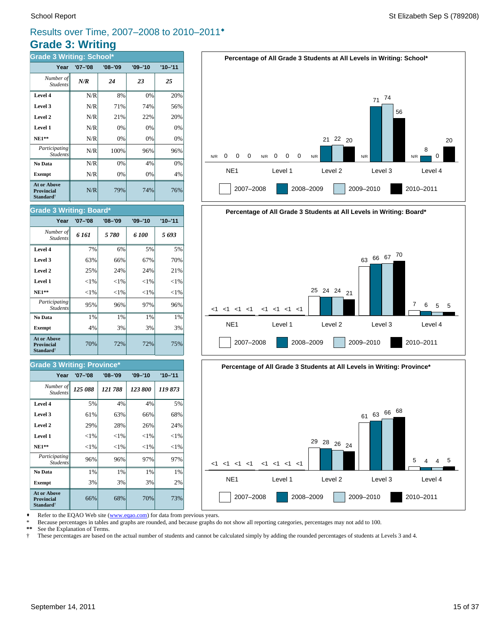# **Grade 3: Writing** Results over Time, 2007–2008 to 2010–2011®

| <b>Grade 3 Writing: School*</b>                                  |             |             |             |             |  |  |  |
|------------------------------------------------------------------|-------------|-------------|-------------|-------------|--|--|--|
| Year                                                             | $'07 - '08$ | $'08 - '09$ | $'09 - '10$ | $'10 - '11$ |  |  |  |
| Number of<br><b>Students</b>                                     | N/R         | 24          | 23          | 25          |  |  |  |
| Level 4                                                          | N/R         | 8%          | 0%          | 20%         |  |  |  |
| Level 3                                                          | N/R         | 71%         | 74%         | 56%         |  |  |  |
| Level 2                                                          | N/R         | 21%         | 22%         | 20%         |  |  |  |
| Level 1                                                          | N/R         | 0%          | 0%          | 0%          |  |  |  |
| <b>NE1**</b>                                                     | N/R         | 0%          | 0%          | 0%          |  |  |  |
| Participating<br><b>Students</b>                                 | N/R         | 100%        | 96%         | 96%         |  |  |  |
| No Data                                                          | N/R         | 0%          | 4%          | 0%          |  |  |  |
| <b>Exempt</b>                                                    | N/R         | 0%          | 0%          | 4%          |  |  |  |
| At or Above<br><b>Provincial</b><br><b>Standard</b> <sup>†</sup> | N/R         | 79%         | 74%         | 76%         |  |  |  |

#### School Report St Elizabeth Sep S (789208)



# **Percentage of All Grade 3 Students at All Levels in Writing: Board\*** NE1 Level 1 Level 2 Level 3 Level 4  $<1 < 1 < 1 < 1$ 2007–2008 2008–2009 2009–2010 2010–2011 <1 <1 <1 <1 <1 <1 <1 <sup>25</sup> <sup>24</sup> <sup>24</sup> <sup>21</sup> <sup>63</sup> <sup>66</sup> <sup>67</sup> <sup>70</sup> 7 6 5 5



Refer to the EQAO Web site (www.eqao.com) for data from previous years.

\* Because percentages in tables and graphs are rounded, and because graphs do not show all reporting categories, percentages may not add to 100.

**\*\*** See the Explanation of Terms.

† These percentages are based on the actual number of students and cannot be calculated simply by adding the rounded percentages of students at Levels 3 and 4.

#### **Level 1**  $\left| \begin{array}{ccc} | & | & | \end{array} \right|$   $\left| \begin{array}{ccc} | & | & | \end{array} \right|$   $\left| \begin{array}{ccc} | & | & | \end{array} \right|$   $\left| \begin{array}{ccc} | & | & | \end{array} \right|$   $\left| \begin{array}{ccc} | & | & | \end{array} \right|$ **Level 2**  $\begin{vmatrix} 25\% & 24\% \end{vmatrix}$  24% 24% 21%

**Grade 3 Writing: Board\***

Student.

| $NE1**$                                                                 | ${<}1\%$ | ${<}1\%$ | ${<}1\%$ | ${<}1\%$ |
|-------------------------------------------------------------------------|----------|----------|----------|----------|
| Participating<br><b>Students</b>                                        | 95%      | 96%      | 97%      | 96%      |
| No Data                                                                 | 1%       | 1%       | 1%       | 1%       |
| <b>Exempt</b>                                                           | 4%       | 3%       | 3%       | 3%       |
| <b>At or Above</b><br><b>Provincial</b><br><b>Standard</b> <sup>†</sup> | 70%      | 72%      | 72%      | 75%      |
|                                                                         |          |          |          |          |

**Level 3**  $\begin{vmatrix} 63\% & 66\% \end{vmatrix}$  67% 67% 70% **Level 4** 7% 6% 5% 5% *6 161 5 780 6 100 5 693 Number of*

**Year '07–'08 '08–'09 '09–'10 '10–'11**

#### **Grade 3 Writing: Province\***

| Year                                                                    | $'07 - '08$ | $'08 - '09$ | $'09 - '10$ | $'10 - '11$ |
|-------------------------------------------------------------------------|-------------|-------------|-------------|-------------|
| Number of<br><b>Students</b>                                            | 125 088     | 121788      | 123 800     | 119873      |
| Level 4                                                                 | 5%          | 4%          | 4%          | 5%          |
| Level 3                                                                 | 61%         | 63%         | 66%         | 68%         |
| Level 2                                                                 | 29%         | 28%         | 26%         | 24%         |
| Level 1                                                                 | ${<}1\%$    | ${<}1\%$    | ${<}1\%$    | ${<}1\%$    |
| $NE1**$                                                                 | ${<}1\%$    | ${<}1\%$    | ${<}1\%$    | ${<}1\%$    |
| Participating<br><b>Students</b>                                        | 96%         | 96%         | 97%         | 97%         |
| No Data                                                                 | 1%          | 1%          | 1%          | 1%          |
| <b>Exempt</b>                                                           | 3%          | 3%          | 3%          | 2%          |
| <b>At or Above</b><br><b>Provincial</b><br><b>Standard</b> <sup>†</sup> | 66%         | 68%         | 70%         | 73%         |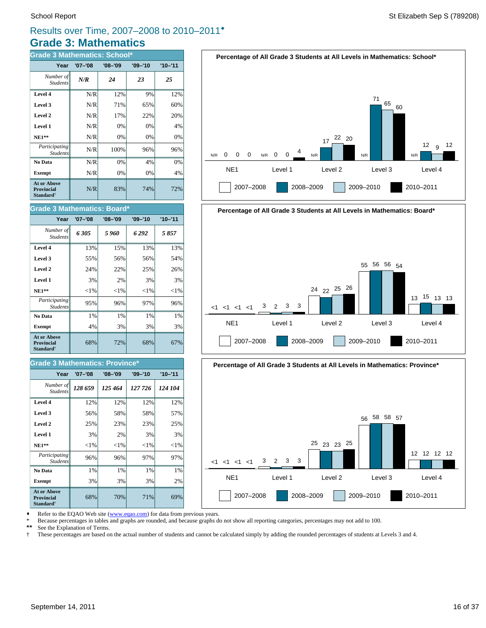# **Grade 3: Mathematics** Results over Time, 2007–2008 to 2010–2011®

| <b>Grade 3 Mathematics: School*</b>                              |             |             |             |             |  |
|------------------------------------------------------------------|-------------|-------------|-------------|-------------|--|
| Year                                                             | $'07 - '08$ | $'08 - '09$ | $'09 - '10$ | $'10 - '11$ |  |
| Number of<br><b>Students</b>                                     | N/R         | 24          | 23          | 25          |  |
| Level 4                                                          | N/R         | 12%         | 9%          | 12%         |  |
| Level 3                                                          | N/R         | 71%         | 65%         | 60%         |  |
| Level 2                                                          | N/R         | 17%         | 22%         | 20%         |  |
| Level 1                                                          | N/R         | 0%          | 0%          | 4%          |  |
| $NE1**$                                                          | N/R         | 0%          | 0%          | $0\%$       |  |
| Participating<br><b>Students</b>                                 | N/R         | 100%        | 96%         | 96%         |  |
| No Data                                                          | N/R         | 0%          | 4%          | 0%          |  |
| <b>Exempt</b>                                                    | N/R         | 0%          | 0%          | 4%          |  |
| <b>At or Above</b><br>Provincial<br><b>Standard</b> <sup>†</sup> | N/R         | 83%         | 74%         | 72%         |  |

| <b>Grade 3 Mathematics: Board*</b>                                      |             |             |             |             |  |
|-------------------------------------------------------------------------|-------------|-------------|-------------|-------------|--|
| Year                                                                    | $'07 - '08$ | $'08 - '09$ | $'09 - '10$ | $'10 - '11$ |  |
| Number of<br><b>Students</b>                                            | 6305        | 5960        | 6 292       | 5857        |  |
| Level 4                                                                 | 13%         | 15%         | 13%         | 13%         |  |
| Level 3                                                                 | 55%         | 56%         | 56%         | 54%         |  |
| Level 2                                                                 | 24%         | 22%         | 25%         | 26%         |  |
| Level 1                                                                 | 3%          | 2%          | 3%          | 3%          |  |
| $NE1**$                                                                 | ${<}1\%$    | ${<}1\%$    | ${<}1%$     | ${<}1%$     |  |
| Participating<br><b>Students</b>                                        | 95%         | 96%         | 97%         | 96%         |  |
| No Data                                                                 | 1%          | 1%          | 1%          | 1%          |  |
| <b>Exempt</b>                                                           | 4%          | 3%          | 3%          | 3%          |  |
| <b>At or Above</b><br><b>Provincial</b><br><b>Standard</b> <sup>†</sup> | 68%         | 72%         | 68%         | 67%         |  |

#### **Grade 3 Mathematics: Province\***

| Year                                                                    | $'07 - '08$ | $'08 - '09$ | $'09 - '10$ | $'10 - '11$ |
|-------------------------------------------------------------------------|-------------|-------------|-------------|-------------|
| Number of<br><b>Students</b>                                            | 128 659     | 125 464     | 127 726     | 124 104     |
| Level 4                                                                 | 12%         | 12%         | 12%         | 12%         |
| Level 3                                                                 | 56%         | 58%         | 58%         | 57%         |
| Level 2                                                                 | 25%         | 23%         | 23%         | 25%         |
| Level 1                                                                 | 3%          | 2%          | 3%          | 3%          |
| <b>NE1**</b>                                                            | ${<}1\%$    | ${<}1\%$    | ${<}1\%$    | ${<}1\%$    |
| <i>Participating</i><br><b>Students</b>                                 | 96%         | 96%         | 97%         | 97%         |
| No Data                                                                 | 1%          | 1%          | 1%          | 1%          |
| <b>Exempt</b>                                                           | 3%          | 3%          | 3%          | 2%          |
| <b>At or Above</b><br><b>Provincial</b><br><b>Standard</b> <sup>†</sup> | 68%         | 70%         | 71%         | 69%         |







Refer to the EQAO Web site (www.eqao.com) for data from previous years.

\* Because percentages in tables and graphs are rounded, and because graphs do not show all reporting categories, percentages may not add to 100.<br>\*\* See the Explanation of Terms

\*\* See the Explanation of Terms.<br><sup>†</sup> These percentages are based on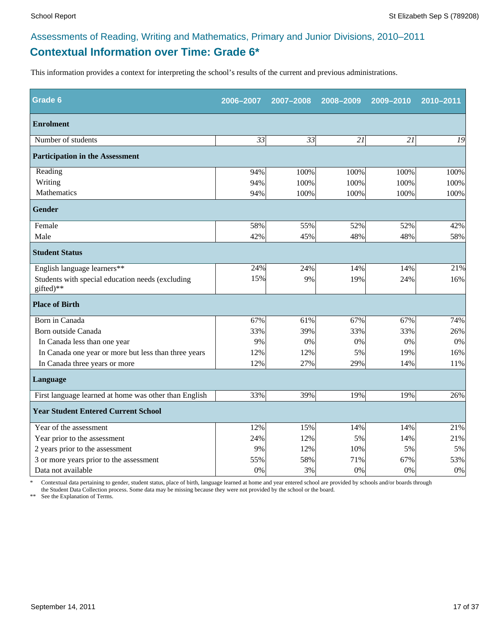# **Contextual Information over Time: Grade 6\*** Assessments of Reading, Writing and Mathematics, Primary and Junior Divisions, 2010–2011

This information provides a context for interpreting the school's results of the current and previous administrations.

| <b>Grade 6</b>                                                | 2006-2007       | 2007-2008 | 2008-2009 | 2009-2010 | 2010-2011 |
|---------------------------------------------------------------|-----------------|-----------|-----------|-----------|-----------|
| <b>Enrolment</b>                                              |                 |           |           |           |           |
| Number of students                                            | $\overline{33}$ | 33        | 21        | 21        | 19        |
| <b>Participation in the Assessment</b>                        |                 |           |           |           |           |
| Reading                                                       | 94%             | 100%      | 100%      | 100%      | 100%      |
| Writing                                                       | 94%             | 100%      | 100%      | 100%      | 100%      |
| Mathematics                                                   | 94%             | 100%      | 100%      | 100%      | 100%      |
| <b>Gender</b>                                                 |                 |           |           |           |           |
| Female                                                        | 58%             | 55%       | 52%       | 52%       | 42%       |
| Male                                                          | 42%             | 45%       | 48%       | 48%       | 58%       |
| <b>Student Status</b>                                         |                 |           |           |           |           |
| English language learners**                                   | 24%             | 24%       | 14%       | 14%       | 21%       |
| Students with special education needs (excluding<br>gifted)** | 15%             | 9%        | 19%       | 24%       | 16%       |
| <b>Place of Birth</b>                                         |                 |           |           |           |           |
| Born in Canada                                                | 67%             | 61%       | 67%       | 67%       | 74%       |
| Born outside Canada                                           | 33%             | 39%       | 33%       | 33%       | 26%       |
| In Canada less than one year                                  | 9%              | 0%        | 0%        | 0%        | 0%        |
| In Canada one year or more but less than three years          | 12%             | 12%       | 5%        | 19%       | 16%       |
| In Canada three years or more                                 | 12%             | 27%       | 29%       | 14%       | 11%       |
| <b>Language</b>                                               |                 |           |           |           |           |
| First language learned at home was other than English         | 33%             | 39%       | 19%       | 19%       | 26%       |
| <b>Year Student Entered Current School</b>                    |                 |           |           |           |           |
| Year of the assessment                                        | 12%             | 15%       | 14%       | 14%       | 21%       |
| Year prior to the assessment                                  | 24%             | 12%       | 5%        | 14%       | 21%       |
| 2 years prior to the assessment                               | 9%              | 12%       | 10%       | 5%        | 5%        |
| 3 or more years prior to the assessment                       | 55%             | 58%       | 71%       | 67%       | 53%       |
| Data not available                                            | 0%              | 3%        | 0%        | 0%        | $0\%$     |

\* Contextual data pertaining to gender, student status, place of birth, language learned at home and year entered school are provided by schools and/or boards through the Student Data Collection process. Some data may be missing because they were not provided by the school or the board.

\*\* See the Explanation of Terms.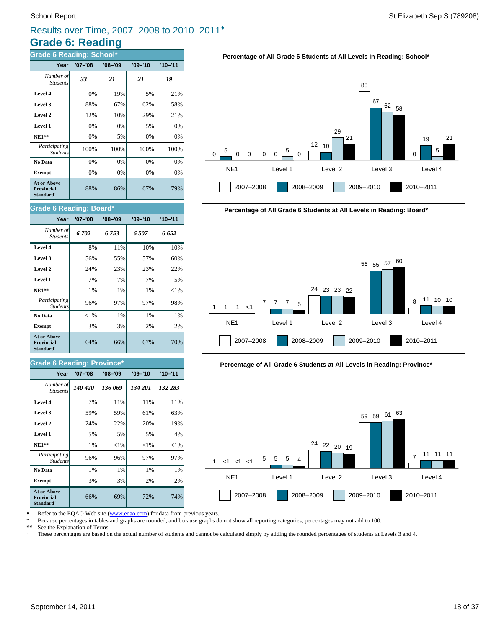# **Grade 6: Reading** Results over Time, 2007–2008 to 2010–2011®

| <b>Grade 6 Reading: School*</b>                                         |             |             |             |             |  |
|-------------------------------------------------------------------------|-------------|-------------|-------------|-------------|--|
| Year                                                                    | $'07 - '08$ | $'08 - '09$ | $'09 - '10$ | $'10 - '11$ |  |
| Number of<br><b>Students</b>                                            | 33          | 21          | 21          | 19          |  |
| Level 4                                                                 | 0%          | 19%         | 5%          | 21%         |  |
| Level 3                                                                 | 88%         | 67%         | 62%         | 58%         |  |
| Level 2                                                                 | 12%         | 10%         | 29%         | 21%         |  |
| Level 1                                                                 | 0%          | 0%          | 5%          | 0%          |  |
| $NE1**$                                                                 | 0%          | 5%          | 0%          | 0%          |  |
| Participating<br><b>Students</b>                                        | 100%        | 100%        | 100%        | 100%        |  |
| No Data                                                                 | 0%          | 0%          | 0%          | 0%          |  |
| <b>Exempt</b>                                                           | 0%          | 0%          | 0%          | 0%          |  |
| <b>At or Above</b><br><b>Provincial</b><br><b>Standard</b> <sup>†</sup> | 88%         | 86%         | 67%         | 79%         |  |

#### **Grade 6 Reading: Board\***

| Year                                                             | '07-'08  | $'08 - '09$ | $'09 - '10$ | $'10 - '11$ |
|------------------------------------------------------------------|----------|-------------|-------------|-------------|
| Number of<br><b>Students</b>                                     | 6702     | 6753        | 6507        | 6 652       |
| Level 4                                                          | 8%       | 11%         | 10%         | 10%         |
| Level 3                                                          | 56%      | 55%         | 57%         | 60%         |
| Level 2                                                          | 24%      | 23%         | 23%         | 22%         |
| Level 1                                                          | 7%       | 7%          | 7%          | 5%          |
| $NE1**$                                                          | 1%       | 1%          | 1%          | ${<}1\%$    |
| Participating<br><b>Students</b>                                 | 96%      | 97%         | 97%         | 98%         |
| No Data                                                          | ${<}1\%$ | 1%          | 1%          | 1%          |
| <b>Exempt</b>                                                    | 3%       | 3%          | 2%          | 2%          |
| <b>At or Above</b><br><b>Provincial</b><br>Standard <sup>†</sup> | 64%      | 66%         | 67%         | 70%         |

#### **Grade 6 Reading: Province\***

| Year                                                                    | $'07 - '08$ | $'08 - '09$ | $'09 - '10$ | $'10 - '11$ |
|-------------------------------------------------------------------------|-------------|-------------|-------------|-------------|
| Number of<br><b>Students</b>                                            | 140 420     | 136 069     | 134 201     | 132 283     |
| Level 4                                                                 | 7%          | 11%         | 11%         | 11%         |
| Level 3                                                                 | 59%         | 59%         | 61%         | 63%         |
| Level 2                                                                 | 24%         | 22%         | 20%         | 19%         |
| Level 1                                                                 | 5%          | 5%          | 5%          | 4%          |
| <b>NE1**</b>                                                            | 1%          | ${<}1\%$    | ${<}1\%$    | ${<}1\%$    |
| <i>Participating</i><br><b>Students</b>                                 | 96%         | 96%         | 97%         | 97%         |
| No Data                                                                 | 1%          | 1%          | 1%          | 1%          |
| <b>Exempt</b>                                                           | 3%          | 3%          | 2%          | 2%          |
| <b>At or Above</b><br><b>Provincial</b><br><b>Standard</b> <sup>†</sup> | 66%         | 69%         | 72%         | 74%         |







Refer to the EQAO Web site (www.eqao.com) for data from previous years.

\* Because percentages in tables and graphs are rounded, and because graphs do not show all reporting categories, percentages may not add to 100.

**\*\*** See the Explanation of Terms.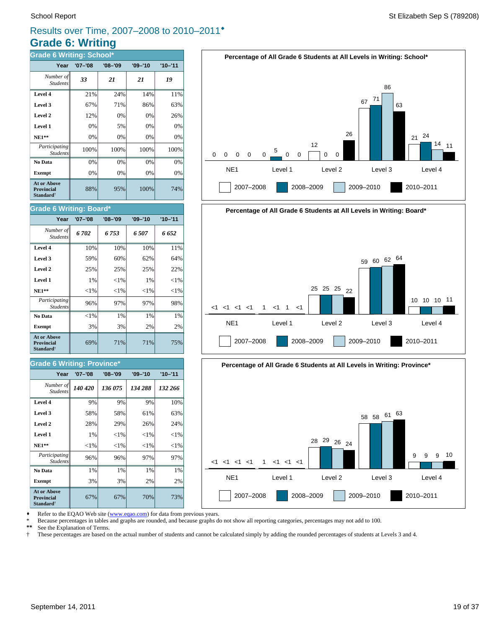# **Grade 6: Writing** Results over Time, 2007–2008 to 2010–2011®

| <b>Grade 6 Writing: School*</b>                                         |             |             |             |             |  |
|-------------------------------------------------------------------------|-------------|-------------|-------------|-------------|--|
| Year                                                                    | $'07 - '08$ | $'08 - '09$ | $'09 - '10$ | $'10 - '11$ |  |
| Number of<br><b>Students</b>                                            | 33          | 21          | 21          | 19          |  |
| Level 4                                                                 | 21%         | 24%         | 14%         | 11%         |  |
| Level 3                                                                 | 67%         | 71%         | 86%         | 63%         |  |
| Level 2                                                                 | 12%         | 0%          | 0%          | 26%         |  |
| Level 1                                                                 | 0%          | 5%          | 0%          | 0%          |  |
| $NE1**$                                                                 | 0%          | 0%          | 0%          | 0%          |  |
| Participating<br><b>Students</b>                                        | 100%        | 100%        | 100%        | 100%        |  |
| No Data                                                                 | 0%          | 0%          | 0%          | 0%          |  |
| <b>Exempt</b>                                                           | 0%          | 0%          | 0%          | 0%          |  |
| <b>At or Above</b><br><b>Provincial</b><br><b>Standard</b> <sup>†</sup> | 88%         | 95%         | 100%        | 74%         |  |

#### **Grade 6 Writing: Board\***

| Year                                                                    | $'07 - '08$ | $'08 - '09$ | $'09 - '10$ | $'10 - '11$ |
|-------------------------------------------------------------------------|-------------|-------------|-------------|-------------|
| Number of<br><b>Students</b>                                            | 6702        | 6 753       | 6.507       | 6 652       |
| Level 4                                                                 | 10%         | 10%         | 10%         | 11%         |
| Level 3                                                                 | 59%         | 60%         | 62%         | 64%         |
| Level 2                                                                 | 25%         | 25%         | 25%         | 22%         |
| Level 1                                                                 | 1%          | ${<}1\%$    | 1%          | ${<}1%$     |
| <b>NE1**</b>                                                            | ${<}1\%$    | ${<}1\%$    | ${<}1\%$    | ${<}1\%$    |
| Participating<br><b>Students</b>                                        | 96%         | 97%         | 97%         | 98%         |
| No Data                                                                 | ${<}1\%$    | $1\%$       | $1\%$       | 1%          |
| <b>Exempt</b>                                                           | 3%          | 3%          | 2%          | 2%          |
| <b>At or Above</b><br><b>Provincial</b><br><b>Standard</b> <sup>†</sup> | 69%         | 71%         | 71%         | 75%         |

#### **Grade 6 Writing: Province\***

| Year                                                                    | $'07 - '08$ | $'08 - '09$ | $'09 - '10$ | $'10 - '11$ |
|-------------------------------------------------------------------------|-------------|-------------|-------------|-------------|
| Number of<br><b>Students</b>                                            | 140 420     | 136 075     | 134 288     | 132 266     |
| Level 4                                                                 | 9%          | 9%          | 9%          | 10%         |
| Level 3                                                                 | 58%         | 58%         | 61%         | 63%         |
| Level 2                                                                 | 28%         | 29%         | 26%         | 24%         |
| Level 1                                                                 | 1%          | ${<}1\%$    | ${<}1\%$    | ${<}1\%$    |
| $NE1**$                                                                 | ${<}1\%$    | ${<}1\%$    | ${<}1\%$    | ${<}1\%$    |
| Participating<br><b>Students</b>                                        | 96%         | 96%         | 97%         | 97%         |
| No Data                                                                 | 1%          | 1%          | 1%          | 1%          |
| <b>Exempt</b>                                                           | 3%          | 3%          | 2%          | 2%          |
| <b>At or Above</b><br><b>Provincial</b><br><b>Standard</b> <sup>†</sup> | 67%         | 67%         | 70%         | 73%         |







Refer to the EQAO Web site (www.eqao.com) for data from previous years.

\* Because percentages in tables and graphs are rounded, and because graphs do not show all reporting categories, percentages may not add to 100.<br>\*\* See the Explanation of Terms

\*\* See the Explanation of Terms.<br><sup>†</sup> These percentages are based on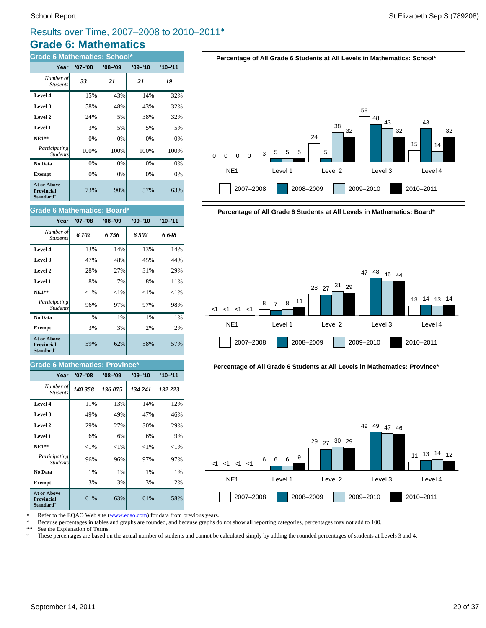# **Grade 6: Mathematics** Results over Time, 2007–2008 to 2010–2011®

| <b>Grade 6 Mathematics: School*</b>                                     |             |             |             |             |  |
|-------------------------------------------------------------------------|-------------|-------------|-------------|-------------|--|
| Year                                                                    | $'07 - '08$ | $'08 - '09$ | $'09 - '10$ | $'10 - '11$ |  |
| Number of<br><b>Students</b>                                            | 33          | 21          | 21          | 19          |  |
| Level 4                                                                 | 15%         | 43%         | 14%         | 32%         |  |
| Level 3                                                                 | 58%         | 48%         | 43%         | 32%         |  |
| Level 2                                                                 | 24%         | 5%          | 38%         | 32%         |  |
| Level 1                                                                 | 3%          | 5%          | 5%          | 5%          |  |
| $NE1**$                                                                 | 0%          | 0%          | 0%          | 0%          |  |
| Participating<br><b>Students</b>                                        | 100%        | 100%        | 100%        | 100%        |  |
| No Data                                                                 | 0%          | 0%          | 0%          | 0%          |  |
| <b>Exempt</b>                                                           | 0%          | 0%          | 0%          | 0%          |  |
| <b>At or Above</b><br><b>Provincial</b><br><b>Standard</b> <sup>†</sup> | 73%         | 90%         | 57%         | 63%         |  |

#### **Grade 6 Mathematics: Board\***

| Year                                                             | '07-'08  | $'08 - '09$ | $'09 - '10$ | $'10 - '11$ |
|------------------------------------------------------------------|----------|-------------|-------------|-------------|
| Number of<br><b>Students</b>                                     | 6702     | 6 756       | 6.502       | 6 648       |
| Level 4                                                          | 13%      | 14%         | 13%         | 14%         |
| Level 3                                                          | 47%      | 48%         | 45%         | 44%         |
| Level 2                                                          | 28%      | 27%         | 31%         | 29%         |
| Level 1                                                          | 8%       | 7%          | 8%          | 11%         |
| $NE1**$                                                          | ${<}1\%$ | ${<}1\%$    | ${<}1\%$    | ${<}1\%$    |
| Participating<br><b>Students</b>                                 | 96%      | 97%         | 97%         | 98%         |
| No Data                                                          | 1%       | $1\%$       | $1\%$       | 1%          |
| <b>Exempt</b>                                                    | 3%       | 3%          | 2%          | 2%          |
| At or Above<br><b>Provincial</b><br><b>Standard</b> <sup>†</sup> | 59%      | 62%         | 58%         | 57%         |

#### **Grade 6 Mathematics: Province\***

| Year                                                             | $'07 - '08$ | $'08 - '09$ | $'09 - '10$ | $'10 - '11$ |
|------------------------------------------------------------------|-------------|-------------|-------------|-------------|
| Number of<br><b>Students</b>                                     | 140 358     | 136 075     | 134 241     | 132 223     |
| Level 4                                                          | 11%         | 13%         | 14%         | 12%         |
| Level 3                                                          | 49%         | 49%         | 47%         | 46%         |
| Level 2                                                          | 29%         | 27%         | 30%         | 29%         |
| Level 1                                                          | 6%          | 6%          | 6%          | 9%          |
| $NE1**$                                                          | ${<}1\%$    | ${<}1\%$    | ${<}1\%$    | ${<}1\%$    |
| Participating<br><b>Students</b>                                 | 96%         | 96%         | 97%         | 97%         |
| No Data                                                          | 1%          | 1%          | 1%          | 1%          |
| <b>Exempt</b>                                                    | 3%          | 3%          | 3%          | 2%          |
| At or Above<br><b>Provincial</b><br><b>Standard</b> <sup>†</sup> | 61%         | 63%         | 61%         | 58%         |







Refer to the EQAO Web site (www.eqao.com) for data from previous years.

\* Because percentages in tables and graphs are rounded, and because graphs do not show all reporting categories, percentages may not add to 100.

**\*\*** See the Explanation of Terms.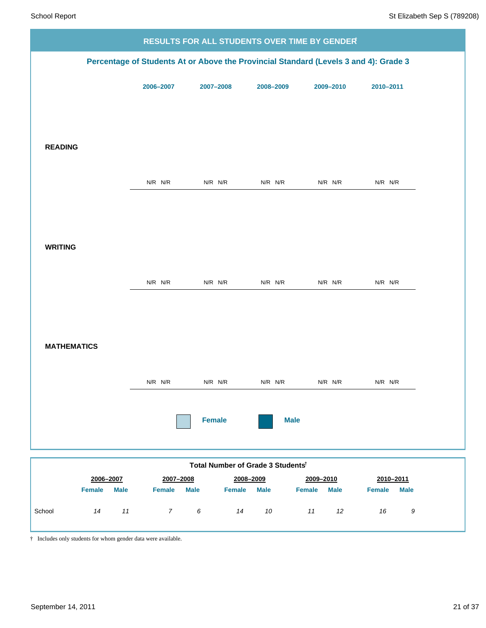|                                    |                |                                   |             | RESULTS FOR ALL STUDENTS OVER TIME BY GENDER                                         |                              |
|------------------------------------|----------------|-----------------------------------|-------------|--------------------------------------------------------------------------------------|------------------------------|
|                                    |                |                                   |             | Percentage of Students At or Above the Provincial Standard (Levels 3 and 4): Grade 3 |                              |
|                                    | 2006-2007      | 2007-2008                         | 2008-2009   | 2009-2010                                                                            | 2010-2011                    |
|                                    |                |                                   |             |                                                                                      |                              |
|                                    |                |                                   |             |                                                                                      |                              |
| <b>READING</b>                     |                |                                   |             |                                                                                      |                              |
|                                    | $N/R$ $N/R$    | $N/R$ $N/R$                       | $N/R$ $N/R$ | $N/R$ $N/R$                                                                          | $N/R$ $N/R$                  |
|                                    |                |                                   |             |                                                                                      |                              |
|                                    |                |                                   |             |                                                                                      |                              |
| <b>WRITING</b>                     |                |                                   |             |                                                                                      |                              |
|                                    |                |                                   |             |                                                                                      |                              |
|                                    | $N/R$ $N/R$    | $N/R$ $N/R$                       | $N/R$ $N/R$ | $N/R$ $N/R$                                                                          | $N/R$ $N/R$                  |
|                                    |                |                                   |             |                                                                                      |                              |
| <b>MATHEMATICS</b>                 |                |                                   |             |                                                                                      |                              |
|                                    |                |                                   |             |                                                                                      |                              |
|                                    | N/R N/R        | $N/R$ $N/R$                       | $N/R$ $N/R$ | $N/R$ $N/R$                                                                          | N/R N/R                      |
|                                    |                | <b>Female</b>                     | <b>Male</b> |                                                                                      |                              |
|                                    |                |                                   |             |                                                                                      |                              |
|                                    |                | Total Number of Grade 3 Studentst |             |                                                                                      |                              |
| 2006-2007                          | 2007-2008      |                                   | 2008-2009   | 2009-2010<br>Female                                                                  | 2010-2011                    |
| <b>Female</b><br><b>Male</b><br>11 | <b>Female</b>  | <b>Male</b><br><b>Female</b>      | <b>Male</b> | <b>Male</b>                                                                          | <b>Female</b><br><b>Male</b> |
| School<br>14                       | $\overline{7}$ | 6<br>14                           | 10          | 11<br>12                                                                             | 9<br>16                      |

† Includes only students for whom gender data were available.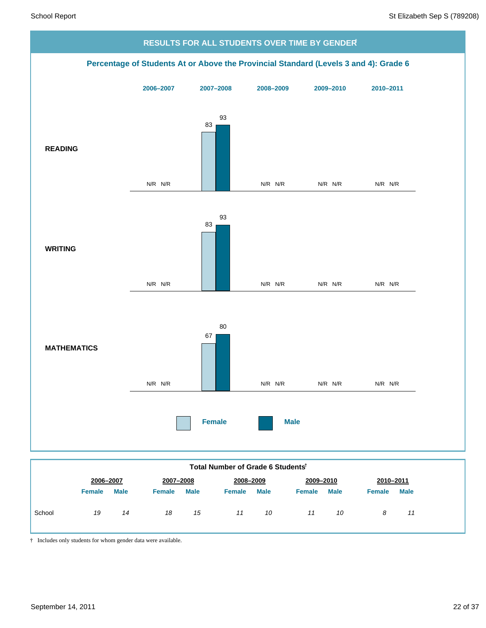

† Includes only students for whom gender data were available.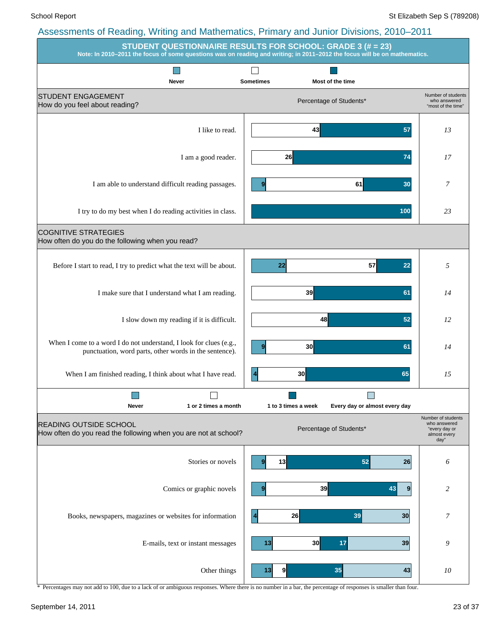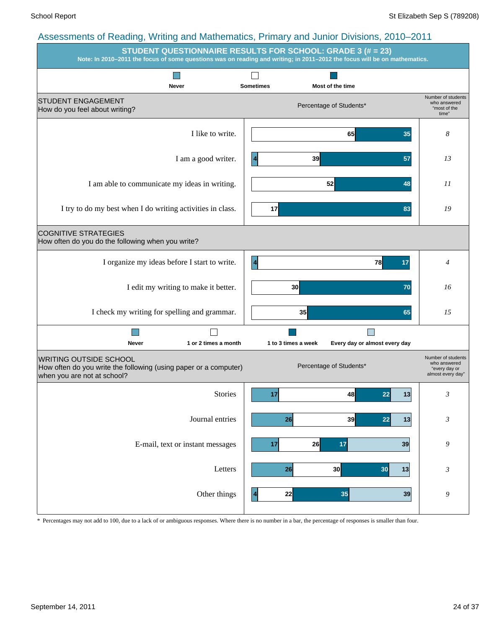| $\overline{a}$ to complete of reduing, virtually and mathematics, it mindly and valued Divisions, 2010. 2011<br><b>STUDENT QUESTIONNAIRE RESULTS FOR SCHOOL: GRADE 3 (# = 23)</b><br>Note: In 2010-2011 the focus of some questions was on reading and writing; in 2011-2012 the focus will be on mathematics. |                         |                     |                                     |    |                                                                          |
|----------------------------------------------------------------------------------------------------------------------------------------------------------------------------------------------------------------------------------------------------------------------------------------------------------------|-------------------------|---------------------|-------------------------------------|----|--------------------------------------------------------------------------|
| Never                                                                                                                                                                                                                                                                                                          | <b>Sometimes</b>        |                     | Most of the time                    |    |                                                                          |
| <b>STUDENT ENGAGEMENT</b><br>How do you feel about writing?                                                                                                                                                                                                                                                    |                         |                     | Percentage of Students*             |    | Number of students<br>who answered<br>"most of the<br>time"              |
| I like to write.                                                                                                                                                                                                                                                                                               |                         |                     | 65                                  | 35 | 8                                                                        |
| I am a good writer.                                                                                                                                                                                                                                                                                            | $\overline{4}$          | 39                  |                                     | 57 | 13                                                                       |
| I am able to communicate my ideas in writing.                                                                                                                                                                                                                                                                  |                         |                     | 52                                  | 48 | 11                                                                       |
| I try to do my best when I do writing activities in class.                                                                                                                                                                                                                                                     | 17                      |                     |                                     | 83 | 19                                                                       |
| <b>COGNITIVE STRATEGIES</b><br>How often do you do the following when you write?                                                                                                                                                                                                                               |                         |                     |                                     |    |                                                                          |
| I organize my ideas before I start to write.                                                                                                                                                                                                                                                                   | $\overline{\mathbf{4}}$ |                     | 78                                  | 17 | $\overline{4}$                                                           |
| I edit my writing to make it better.                                                                                                                                                                                                                                                                           |                         | 30 <sup>1</sup>     |                                     | 70 | 16                                                                       |
| I check my writing for spelling and grammar.                                                                                                                                                                                                                                                                   |                         | 35                  |                                     | 65 | 15                                                                       |
| 1 or 2 times a month<br>Never                                                                                                                                                                                                                                                                                  |                         | 1 to 3 times a week | P.<br>Every day or almost every day |    |                                                                          |
| <b>WRITING OUTSIDE SCHOOL</b><br>How often do you write the following (using paper or a computer)<br>when you are not at school?                                                                                                                                                                               |                         |                     | Percentage of Students*             |    | Number of students<br>who answered<br>"every day or<br>almost every day" |
| Stories                                                                                                                                                                                                                                                                                                        | 17                      |                     | 22<br>48                            | 13 | 3                                                                        |
| Journal entries                                                                                                                                                                                                                                                                                                |                         | 26                  | 39<br>22                            | 13 | $\boldsymbol{\beta}$                                                     |
| E-mail, text or instant messages                                                                                                                                                                                                                                                                               | 17                      | 26                  | 17                                  | 39 | 9                                                                        |
| Letters                                                                                                                                                                                                                                                                                                        |                         | 26                  | 30<br>30                            | 13 | 3                                                                        |
| Other things                                                                                                                                                                                                                                                                                                   | $\vert 4 \vert$         | 22                  | 35                                  | 39 | 9                                                                        |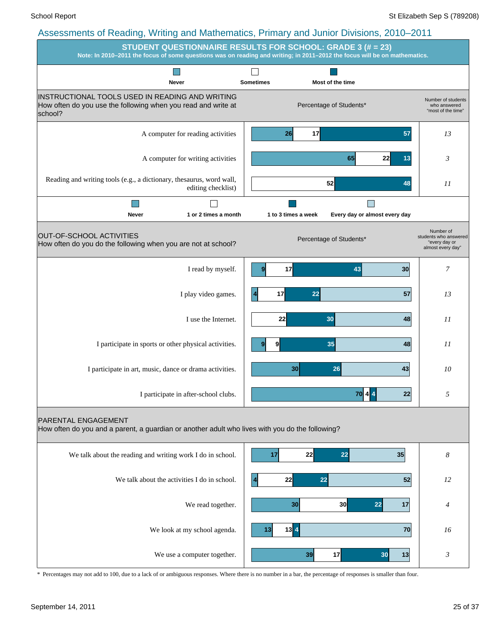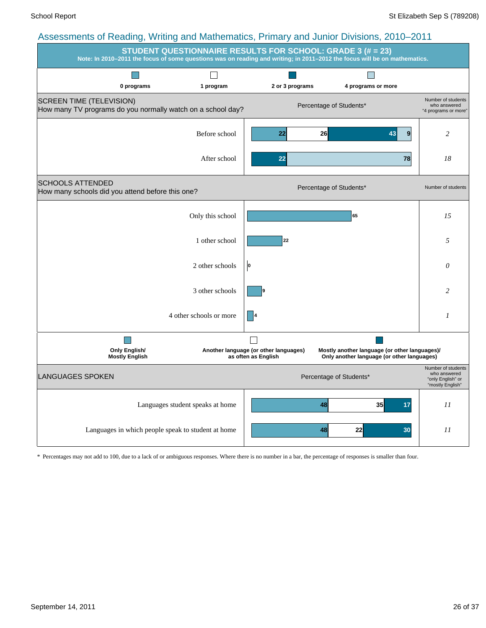| roocoomento or redding, vining and manomatico, i minary and cannot Divisions, 2010. 2011                                                                                                       |                                  |                                                              |                                                                                             |                                                                             |  |  |  |  |  |
|------------------------------------------------------------------------------------------------------------------------------------------------------------------------------------------------|----------------------------------|--------------------------------------------------------------|---------------------------------------------------------------------------------------------|-----------------------------------------------------------------------------|--|--|--|--|--|
| <b>STUDENT QUESTIONNAIRE RESULTS FOR SCHOOL: GRADE 3 (# = 23)</b><br>Note: In 2010–2011 the focus of some questions was on reading and writing; in 2011–2012 the focus will be on mathematics. |                                  |                                                              |                                                                                             |                                                                             |  |  |  |  |  |
|                                                                                                                                                                                                |                                  |                                                              |                                                                                             |                                                                             |  |  |  |  |  |
| 0 programs                                                                                                                                                                                     | 1 program                        | 2 or 3 programs                                              | 4 programs or more                                                                          |                                                                             |  |  |  |  |  |
| <b>SCREEN TIME (TELEVISION)</b><br>How many TV programs do you normally watch on a school day?                                                                                                 |                                  |                                                              | Percentage of Students*                                                                     | Number of students<br>who answered<br>"4 programs or more"                  |  |  |  |  |  |
|                                                                                                                                                                                                | Before school                    | 22                                                           | 26<br>9<br>43                                                                               | 2                                                                           |  |  |  |  |  |
|                                                                                                                                                                                                | After school                     | 22                                                           | 78                                                                                          | 18                                                                          |  |  |  |  |  |
| <b>SCHOOLS ATTENDED</b><br>How many schools did you attend before this one?                                                                                                                    |                                  |                                                              | Percentage of Students*                                                                     | Number of students                                                          |  |  |  |  |  |
|                                                                                                                                                                                                | Only this school                 |                                                              | 65                                                                                          | 15                                                                          |  |  |  |  |  |
|                                                                                                                                                                                                | 1 other school                   | 22                                                           |                                                                                             | 5                                                                           |  |  |  |  |  |
|                                                                                                                                                                                                | 2 other schools                  | O                                                            |                                                                                             | $\theta$                                                                    |  |  |  |  |  |
|                                                                                                                                                                                                | 3 other schools                  |                                                              |                                                                                             | 2                                                                           |  |  |  |  |  |
|                                                                                                                                                                                                | 4 other schools or more          |                                                              |                                                                                             | 1                                                                           |  |  |  |  |  |
| <b>Only English/</b><br><b>Mostly English</b>                                                                                                                                                  |                                  | Another language (or other languages)<br>as often as English | Mostly another language (or other languages)/<br>Only another language (or other languages) |                                                                             |  |  |  |  |  |
| <b>LANGUAGES SPOKEN</b>                                                                                                                                                                        |                                  |                                                              | Percentage of Students*                                                                     | Number of students<br>who answered<br>"only English" or<br>"mostly English" |  |  |  |  |  |
|                                                                                                                                                                                                | Languages student speaks at home |                                                              | 48<br>35<br>17                                                                              | $_{II}$                                                                     |  |  |  |  |  |
| Languages in which people speak to student at home                                                                                                                                             |                                  |                                                              | 22<br>48<br>30                                                                              | 11                                                                          |  |  |  |  |  |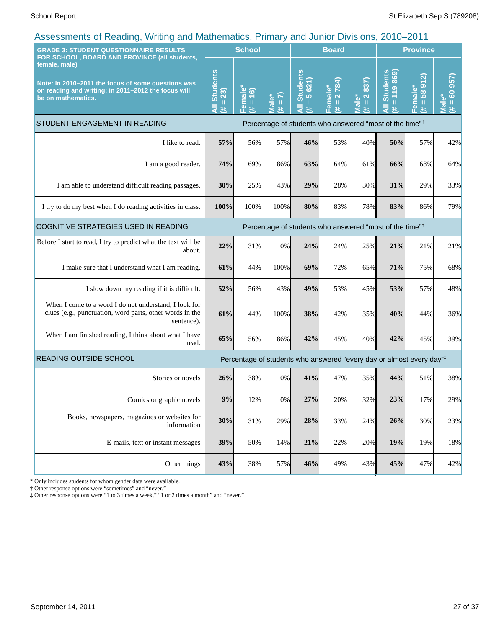| . ت<br><b>GRADE 3: STUDENT QUESTIONNAIRE RESULTS</b>                                                                                                                                              |      | <b>School</b>                      |                                           | <b>Board</b>                                                                     |                                        |                                                                         | <b>Province</b>                                             |                                           |                                        |
|---------------------------------------------------------------------------------------------------------------------------------------------------------------------------------------------------|------|------------------------------------|-------------------------------------------|----------------------------------------------------------------------------------|----------------------------------------|-------------------------------------------------------------------------|-------------------------------------------------------------|-------------------------------------------|----------------------------------------|
| FOR SCHOOL, BOARD AND PROVINCE (all students,<br>female, male)<br>Note: In 2010-2011 the focus of some questions was<br>on reading and writing; in 2011-2012 the focus will<br>be on mathematics. |      | emale<br>(91)<br>$\,$ H<br>巷<br>т. | $\overline{2}$<br>Male <sup>*</sup><br>¥. | <b>Students</b><br>5 621)<br>$\mathbf{I}$<br>巷                                   | 2 784)<br>emale*<br>$\,$ II<br>巷<br>L. | 837)<br>$\boldsymbol{\alpha}$<br>lale <sup>*</sup><br>$\mathbf{u}$<br>共 | <b>Students</b><br>119869<br>$\mathbf{I}$<br>$\bar{a}$<br>共 | 912<br>Female*<br>$\frac{8}{3}$<br>Ш<br>巷 | 957)<br>$= 60$<br>$\bullet$<br>πã<br>进 |
| STUDENT ENGAGEMENT IN READING                                                                                                                                                                     |      |                                    |                                           | Percentage of students who answered "most of the time" <sup>†</sup>              |                                        |                                                                         |                                                             |                                           |                                        |
| I like to read.                                                                                                                                                                                   | 57%  | 56%                                | 57%                                       | 46%                                                                              | 53%                                    | 40%                                                                     | 50%                                                         | 57%                                       | 42%                                    |
| I am a good reader.                                                                                                                                                                               | 74%  | 69%                                | 86%                                       | 63%                                                                              | 64%                                    | 61%                                                                     | 66%                                                         | 68%                                       | 64%                                    |
| I am able to understand difficult reading passages.                                                                                                                                               | 30%  | 25%                                | 43%                                       | 29%                                                                              | 28%                                    | 30%                                                                     | 31%                                                         | 29%                                       | 33%                                    |
| I try to do my best when I do reading activities in class.                                                                                                                                        | 100% | 100%                               | 100%                                      | 80%                                                                              | 83%                                    | 78%                                                                     | 83%                                                         | 86%                                       | 79%                                    |
| COGNITIVE STRATEGIES USED IN READING                                                                                                                                                              |      |                                    |                                           | Percentage of students who answered "most of the time" <sup>†</sup>              |                                        |                                                                         |                                                             |                                           |                                        |
| Before I start to read, I try to predict what the text will be<br>about.                                                                                                                          | 22%  | 31%                                | 0%                                        | 24%                                                                              | 24%                                    | 25%                                                                     | 21%                                                         | 21%                                       | 21%                                    |
| I make sure that I understand what I am reading.                                                                                                                                                  | 61%  | 44%                                | 100%                                      | 69%                                                                              | 72%                                    | 65%                                                                     | 71%                                                         | 75%                                       | 68%                                    |
| I slow down my reading if it is difficult.                                                                                                                                                        | 52%  | 56%                                | 43%                                       | 49%                                                                              | 53%                                    | 45%                                                                     | 53%                                                         | 57%                                       | 48%                                    |
| When I come to a word I do not understand, I look for<br>clues (e.g., punctuation, word parts, other words in the<br>sentence).                                                                   | 61%  | 44%                                | 100%                                      | 38%                                                                              | 42%                                    | 35%                                                                     | 40%                                                         | 44%                                       | 36%                                    |
| When I am finished reading, I think about what I have<br>read.                                                                                                                                    | 65%  | 56%                                | 86%                                       | 42%                                                                              | 45%                                    | 40%                                                                     | 42%                                                         | 45%                                       | 39%                                    |
| <b>READING OUTSIDE SCHOOL</b>                                                                                                                                                                     |      |                                    |                                           | Percentage of students who answered "every day or almost every day" <sup>‡</sup> |                                        |                                                                         |                                                             |                                           |                                        |
| Stories or novels                                                                                                                                                                                 | 26%  | 38%                                | 0%                                        | 41%                                                                              | 47%                                    | <b>35%</b>                                                              | 44%                                                         | 51%                                       | 38%                                    |
| Comics or graphic novels                                                                                                                                                                          | 9%   | 12%                                | 0%                                        | 27%                                                                              | 20%                                    | 32%                                                                     | 23%                                                         | 17%                                       | 29%                                    |
| Books, newspapers, magazines or websites for<br>information                                                                                                                                       | 30%  | 31%                                | 29%                                       | 28%                                                                              | 33%                                    | 24%                                                                     | 26%                                                         | 30%                                       | 23%                                    |
| E-mails, text or instant messages                                                                                                                                                                 | 39%  | 50%                                | 14%                                       | 21%                                                                              | 22%                                    | 20%                                                                     | 19%                                                         | 19%                                       | 18%                                    |
| Other things                                                                                                                                                                                      | 43%  | 38%                                | 57%                                       | 46%                                                                              | 49%                                    | 43%                                                                     | 45%                                                         | 47%                                       | 42%                                    |

\* Only includes students for whom gender data were available.

† Other response options were "sometimes" and "never."

‡ Other response options were "1 to 3 times a week," "1 or 2 times a month" and "never."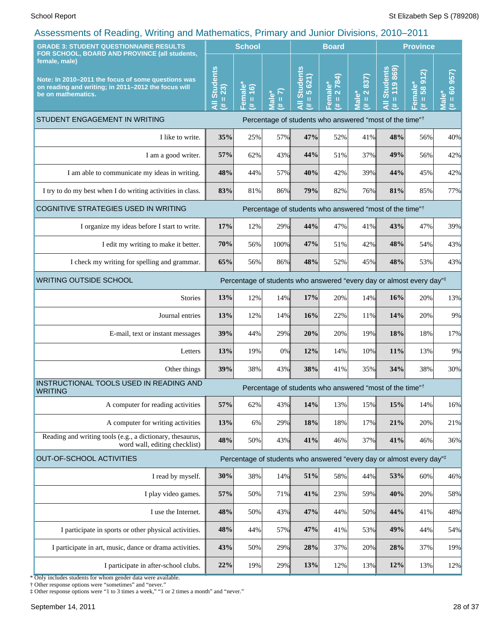| <b>GRADE 3: STUDENT QUESTIONNAIRE RESULTS</b>                                                                                                                                                     |                           | roocoomono or rodding; rrining dha mathomatico; rrinidi y dha bantor Britishop, Loro<br><b>School</b> |            | <b>Board</b>              |                  |                                                         | <b>Province</b>                                                                  |                                             |                                    |
|---------------------------------------------------------------------------------------------------------------------------------------------------------------------------------------------------|---------------------------|-------------------------------------------------------------------------------------------------------|------------|---------------------------|------------------|---------------------------------------------------------|----------------------------------------------------------------------------------|---------------------------------------------|------------------------------------|
| FOR SCHOOL, BOARD AND PROVINCE (all students,<br>female, male)<br>Note: In 2010-2011 the focus of some questions was<br>on reading and writing; in 2011-2012 the focus will<br>be on mathematics. | <b>Students</b><br>$= 23$ | Female <sup>*</sup><br>$\overline{16}$                                                                | $= 7$      | <b>Students</b><br>5 621) | 2784)<br>Female* | 837)<br>$\overline{\mathbf{N}}$<br>$\mathbf{\tilde{o}}$ | <b>All Students</b><br>119869<br>$\mathbf{u}$                                    | <u>ର</u><br>$\overline{5}$<br>Female*<br>58 | 957)<br>$\frac{1}{100}$            |
|                                                                                                                                                                                                   | Ę<br>共                    | $\mathbf{H}$<br>巷                                                                                     | Male*<br>进 | П<br>Ę<br>y.              | $\rm H$<br>巷     | $\rm{II}$<br>$\bar{\bar{\mathbf{v}}}$<br>共              | 共                                                                                | Ш<br>违                                      | $\bar{\bar{\mathbf{v}}}$<br>进<br>5 |
| STUDENT ENGAGEMENT IN WRITING                                                                                                                                                                     |                           |                                                                                                       |            |                           |                  |                                                         | Percentage of students who answered "most of the time" <sup>†</sup>              |                                             |                                    |
| I like to write.                                                                                                                                                                                  | 35%                       | 25%                                                                                                   | 57%        | 47%                       | 52%              | 41%                                                     | 48%                                                                              | 56%                                         | 40%                                |
| I am a good writer.                                                                                                                                                                               | 57%                       | 62%                                                                                                   | 43%        | 44%                       | 51%              | 37%                                                     | 49%                                                                              | 56%                                         | 42%                                |
| I am able to communicate my ideas in writing.                                                                                                                                                     | 48%                       | 44%                                                                                                   | 57%        | 40%                       | 42%              | 39%                                                     | 44%                                                                              | 45%                                         | 42%                                |
| I try to do my best when I do writing activities in class.                                                                                                                                        | 83%                       | 81%                                                                                                   | 86%        | 79%                       | 82%              | 76%                                                     | 81%                                                                              | 85%                                         | 77%                                |
| COGNITIVE STRATEGIES USED IN WRITING                                                                                                                                                              |                           |                                                                                                       |            |                           |                  |                                                         | Percentage of students who answered "most of the time" <sup>†</sup>              |                                             |                                    |
| I organize my ideas before I start to write.                                                                                                                                                      | 17%                       | 12%                                                                                                   | 29%        | 44%                       | 47%              | 41%                                                     | 43%                                                                              | 47%                                         | 39%                                |
| I edit my writing to make it better.                                                                                                                                                              | 70%                       | 56%                                                                                                   | 100%       | 47%                       | 51%              | 42%                                                     | 48%                                                                              | 54%                                         | 43%                                |
| I check my writing for spelling and grammar.                                                                                                                                                      | 65%                       | 56%                                                                                                   | 86%        | 48%                       | 52%              | 45%                                                     | 48%                                                                              | 53%                                         | 43%                                |
| <b>WRITING OUTSIDE SCHOOL</b><br>Percentage of students who answered "every day or almost every day"#                                                                                             |                           |                                                                                                       |            |                           |                  |                                                         |                                                                                  |                                             |                                    |
| <b>Stories</b>                                                                                                                                                                                    | 13%                       | 12%                                                                                                   | 14%        | 17%                       | 20%              | 14%                                                     | 16%                                                                              | 20%                                         | 13%                                |
| Journal entries                                                                                                                                                                                   | 13%                       | 12%                                                                                                   | 14%        | 16%                       | 22%              | 11%                                                     | 14%                                                                              | 20%                                         | 9%                                 |
| E-mail, text or instant messages                                                                                                                                                                  | 39%                       | 44%                                                                                                   | 29%        | 20%                       | 20%              | 19%                                                     | 18%                                                                              | 18%                                         | 17%                                |
| Letters                                                                                                                                                                                           | 13%                       | 19%                                                                                                   | 0%         | 12%                       | 14%              | 10%                                                     | 11%                                                                              | 13%                                         | 9%                                 |
| Other things                                                                                                                                                                                      | 39%                       | 38%                                                                                                   | 43%        | 38%                       | 41%              | 35%                                                     | 34%                                                                              | 38%                                         | 30%                                |
| INSTRUCTIONAL TOOLS USED IN READING AND<br><b>WRITING</b>                                                                                                                                         |                           |                                                                                                       |            |                           |                  |                                                         | Percentage of students who answered "most of the time" <sup>†</sup>              |                                             |                                    |
| A computer for reading activities                                                                                                                                                                 | 57%                       | 62%                                                                                                   | 43%        | 14%                       | 13%              | 15%                                                     | 15%                                                                              | 14%                                         | 16%                                |
| A computer for writing activities                                                                                                                                                                 | 13%                       | 6%                                                                                                    | 29%        | 18%                       | 18%              | 17%                                                     | 21%                                                                              | 20%                                         | 21%                                |
| Reading and writing tools (e.g., a dictionary, thesaurus,<br>word wall, editing checklist)                                                                                                        | 48%                       | 50%                                                                                                   | 43%        | 41%                       | 46%              | 37%                                                     | 41%                                                                              | 46%                                         | 36%                                |
| <b>OUT-OF-SCHOOL ACTIVITIES</b>                                                                                                                                                                   |                           |                                                                                                       |            |                           |                  |                                                         | Percentage of students who answered "every day or almost every day" <sup>‡</sup> |                                             |                                    |
| I read by myself.                                                                                                                                                                                 | 30%                       | 38%                                                                                                   | 14%        | 51%                       | 58%              | 44%                                                     | 53%                                                                              | 60%                                         | 46%                                |
| I play video games.                                                                                                                                                                               | 57%                       | 50%                                                                                                   | 71%        | 41%                       | 23%              | 59%                                                     | 40%                                                                              | 20%                                         | 58%                                |
| I use the Internet.                                                                                                                                                                               | 48%                       | 50%                                                                                                   | 43%        | 47%                       | 44%              | 50%                                                     | 44%                                                                              | 41%                                         | 48%                                |
| I participate in sports or other physical activities.                                                                                                                                             | 48%                       | 44%                                                                                                   | 57%        | 47%                       | 41%              | 53%                                                     | 49%                                                                              | 44%                                         | 54%                                |
| I participate in art, music, dance or drama activities.                                                                                                                                           | 43%                       | 50%                                                                                                   | 29%        | 28%                       | 37%              | 20%                                                     | 28%                                                                              | 37%                                         | 19%                                |
| I participate in after-school clubs.                                                                                                                                                              | 22%                       | 19%                                                                                                   | 29%        | 13%                       | 12%              | 13%                                                     | 12%                                                                              | 13%                                         | 12%                                |

\* Only includes students for whom gender data were available. † Other response options were "sometimes" and "never."

‡ Other response options were "1 to 3 times a week," "1 or 2 times a month" and "never."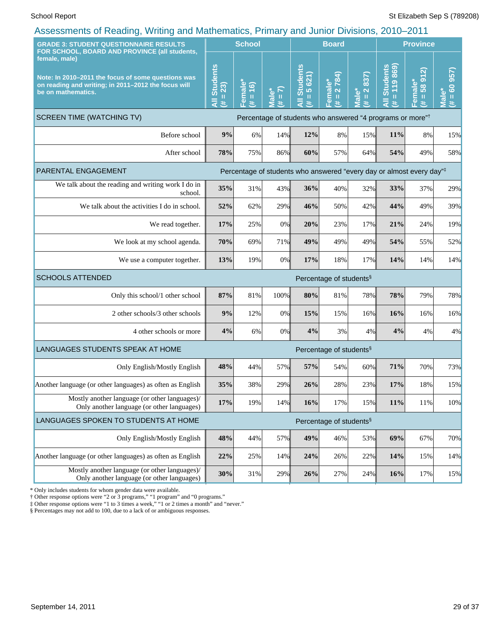| roodonnomo or rodding, vvining dha mathomatico, i milary dha bannoi Brvolono, 2010<br><b>GRADE 3: STUDENT QUESTIONNAIRE RESULTS</b>                                                               |     | <b>School</b>                          |                                                    |                                                                       | <b>Board</b>                           |                                                               |                                      | <b>Province</b>                |                                          |
|---------------------------------------------------------------------------------------------------------------------------------------------------------------------------------------------------|-----|----------------------------------------|----------------------------------------------------|-----------------------------------------------------------------------|----------------------------------------|---------------------------------------------------------------|--------------------------------------|--------------------------------|------------------------------------------|
| FOR SCHOOL, BOARD AND PROVINCE (all students,<br>female, male)<br>Note: In 2010-2011 the focus of some questions was<br>on reading and writing; in 2011-2012 the focus will<br>be on mathematics. |     | Female*<br>(# = 16)<br>$\overline{16}$ | $\mathcal{L}$<br><b>Male*</b><br>$\mathbf{H}$<br>违 | <b>Students</b><br>5 621)<br>Ш<br>共                                   | 2 784)<br>Female*<br>$\mathbf{u}$<br>违 | 837)<br>$\overline{\mathbf{N}}$<br>Male*<br>$\mathbf{H}$<br># | 869)<br>All Students<br>$= 119$<br>共 | 912<br>Female*<br>$(\# = 5899$ | 957)<br>$= 60$<br>Male <sup>®</sup><br>进 |
| <b>SCREEN TIME (WATCHING TV)</b>                                                                                                                                                                  |     |                                        |                                                    | Percentage of students who answered "4 programs or more" <sup>†</sup> |                                        |                                                               |                                      |                                |                                          |
| Before school                                                                                                                                                                                     | 9%  | 6%                                     | 14%                                                | 12%                                                                   | 8%                                     | 15%                                                           | 11%                                  | 8%                             | 15%                                      |
| After school                                                                                                                                                                                      | 78% | 75%                                    | 86%                                                | 60%                                                                   | 57%                                    | 64%                                                           | 54%                                  | 49%                            | 58%                                      |
| PARENTAL ENGAGEMENT                                                                                                                                                                               |     |                                        |                                                    | Percentage of students who answered "every day or almost every day"#  |                                        |                                                               |                                      |                                |                                          |
| We talk about the reading and writing work I do in<br>school.                                                                                                                                     | 35% | 31%                                    | 43%                                                | 36%                                                                   | 40%                                    | 32%                                                           | 33%                                  | 37%                            | 29%                                      |
| We talk about the activities I do in school.                                                                                                                                                      | 52% | 62%                                    | 29%                                                | 46%                                                                   | 50%                                    | 42%                                                           | 44%                                  | 49%                            | 39%                                      |
| We read together.                                                                                                                                                                                 | 17% | 25%                                    | 0%                                                 | 20%                                                                   | 23%                                    | 17%                                                           | 21%                                  | 24%                            | 19%                                      |
| We look at my school agenda.                                                                                                                                                                      | 70% | 69%                                    | 71%                                                | 49%                                                                   | 49%                                    | 49%                                                           | 54%                                  | 55%                            | 52%                                      |
| We use a computer together.                                                                                                                                                                       | 13% | 19%                                    | 0%                                                 | 17%                                                                   | 18%                                    | 17%                                                           | 14%                                  | 14%                            | 14%                                      |
| <b>SCHOOLS ATTENDED</b>                                                                                                                                                                           |     |                                        |                                                    |                                                                       | Percentage of students <sup>§</sup>    |                                                               |                                      |                                |                                          |
| Only this school/1 other school                                                                                                                                                                   | 87% | 81%                                    | 100%                                               | 80%                                                                   | 81%                                    | 78%                                                           | 78%                                  | 79%                            | 78%                                      |
| 2 other schools/3 other schools                                                                                                                                                                   | 9%  | 12%                                    | 0%                                                 | 15%                                                                   | 15%                                    | $16\%$                                                        | 16%                                  | 16%                            | 16%                                      |
| 4 other schools or more                                                                                                                                                                           | 4%  | 6%                                     | 0%                                                 | 4%                                                                    | 3%                                     | 4%                                                            | 4%                                   | 4%                             | 4%                                       |
| LANGUAGES STUDENTS SPEAK AT HOME                                                                                                                                                                  |     |                                        |                                                    |                                                                       | Percentage of students <sup>§</sup>    |                                                               |                                      |                                |                                          |
| Only English/Mostly English                                                                                                                                                                       | 48% | 44%                                    | 57%                                                | 57%                                                                   | 54%                                    | 60%                                                           | 71%                                  | 70%                            | 73%                                      |
| Another language (or other languages) as often as English                                                                                                                                         | 35% | 38%                                    | 29%                                                | 26%                                                                   | 28%                                    | 23%                                                           | 17%                                  | 18%                            | 15%                                      |
| Mostly another language (or other languages)/<br>Only another language (or other languages)                                                                                                       | 17% | 19%                                    | 14%                                                | 16%                                                                   | 17%                                    | 15%                                                           | 11%                                  | 11%                            | 10%                                      |
| LANGUAGES SPOKEN TO STUDENTS AT HOME                                                                                                                                                              |     |                                        |                                                    |                                                                       | Percentage of students <sup>§</sup>    |                                                               |                                      |                                |                                          |
| Only English/Mostly English                                                                                                                                                                       | 48% | 44%                                    | 57%                                                | 49%                                                                   | 46%                                    | 53%                                                           | 69%                                  | 67%                            | 70%                                      |
| Another language (or other languages) as often as English                                                                                                                                         | 22% | 25%                                    | 14%                                                | 24%                                                                   | 26%                                    | 22%                                                           | 14%                                  | 15%                            | 14%                                      |
| Mostly another language (or other languages)/<br>Only another language (or other languages)                                                                                                       | 30% | 31%                                    | 29%                                                | 26%                                                                   | 27%                                    | 24%                                                           | 16%                                  | 17%                            | 15%                                      |

\* Only includes students for whom gender data were available.

† Other response options were "2 or 3 programs," "1 program" and "0 programs."

‡ Other response options were "1 to 3 times a week," "1 or 2 times a month" and "never."

§ Percentages may not add to 100, due to a lack of or ambiguous responses.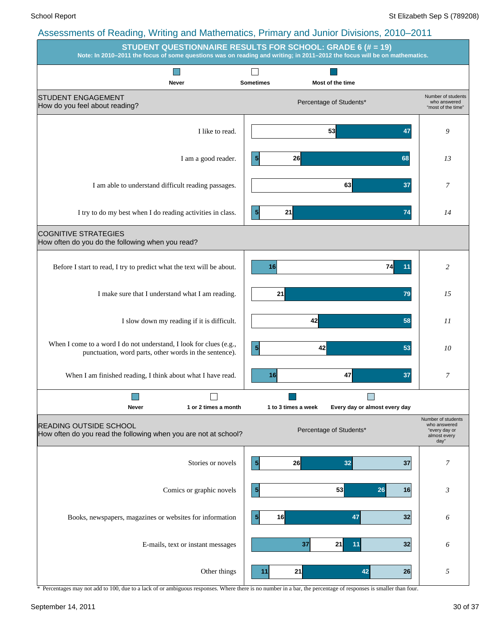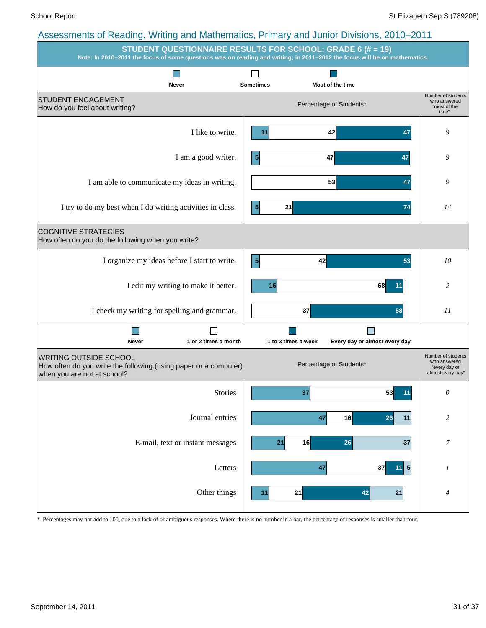|                                                                                                                                  | STUDENT QUESTIONNAIRE RESULTS FOR SCHOOL: GRADE 6 (# = 19)<br>Note: In 2010-2011 the focus of some questions was on reading and writing; in 2011-2012 the focus will be on mathematics. |                                                                          |
|----------------------------------------------------------------------------------------------------------------------------------|-----------------------------------------------------------------------------------------------------------------------------------------------------------------------------------------|--------------------------------------------------------------------------|
| <b>Never</b>                                                                                                                     | <b>Sometimes</b><br>Most of the time                                                                                                                                                    |                                                                          |
| <b>STUDENT ENGAGEMENT</b><br>How do you feel about writing?                                                                      | Percentage of Students*                                                                                                                                                                 | Number of students<br>who answered<br>"most of the<br>time"              |
| I like to write.                                                                                                                 | 42<br>47<br>11                                                                                                                                                                          | 9                                                                        |
| I am a good writer.                                                                                                              | $\vert 5 \vert$<br>47<br>47                                                                                                                                                             | 9                                                                        |
| I am able to communicate my ideas in writing.                                                                                    | 53<br>47                                                                                                                                                                                | 9                                                                        |
| I try to do my best when I do writing activities in class.                                                                       | $\vert 5 \vert$<br>21<br>74                                                                                                                                                             | 14                                                                       |
| <b>COGNITIVE STRATEGIES</b><br>How often do you do the following when you write?                                                 |                                                                                                                                                                                         |                                                                          |
| I organize my ideas before I start to write.                                                                                     | 5 <sup>1</sup><br>42<br>53                                                                                                                                                              | 10                                                                       |
| I edit my writing to make it better.                                                                                             | 16<br>68<br>11                                                                                                                                                                          | 2                                                                        |
| I check my writing for spelling and grammar.                                                                                     | 37<br>58                                                                                                                                                                                | 11                                                                       |
| 1 or 2 times a month<br><b>Never</b>                                                                                             | Every day or almost every day<br>1 to 3 times a week                                                                                                                                    |                                                                          |
| <b>WRITING OUTSIDE SCHOOL</b><br>How often do you write the following (using paper or a computer)<br>when you are not at school? | Percentage of Students*                                                                                                                                                                 | Number of students<br>who answered<br>"every day or<br>almost every day" |
| <b>Stories</b>                                                                                                                   | 37<br>53<br>11                                                                                                                                                                          | 0                                                                        |
| Journal entries                                                                                                                  | 16<br>26<br>47<br>11                                                                                                                                                                    | $\mathfrak{2}$                                                           |
| E-mail, text or instant messages                                                                                                 | 21<br>16<br>26<br>37                                                                                                                                                                    | $\boldsymbol{7}$                                                         |
| Letters                                                                                                                          | 37<br>$\vert 5 \vert$<br>47<br>11                                                                                                                                                       | $\boldsymbol{l}$                                                         |
| Other things                                                                                                                     | 21<br>42<br>21<br>11                                                                                                                                                                    | 4                                                                        |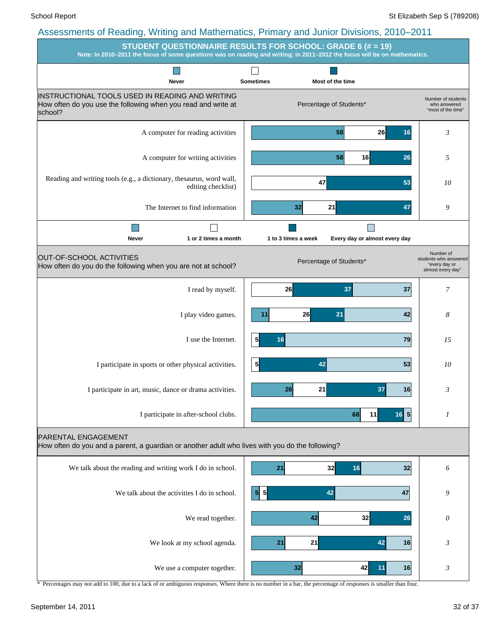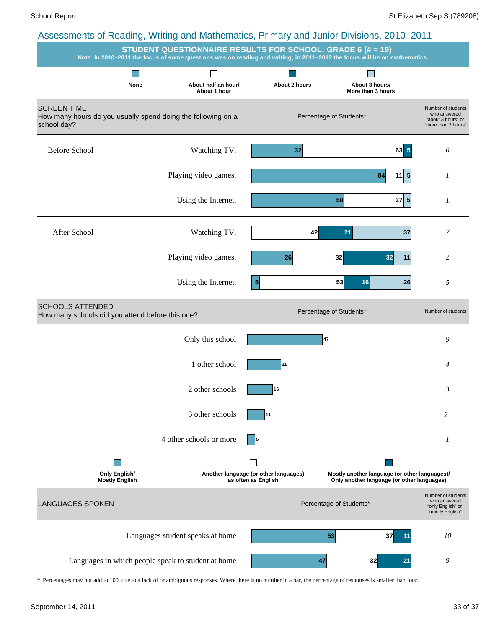|                                                                                                   |      |                                     | STUDENT QUESTIONNAIRE RESULTS FOR SCHOOL: GRADE 6 (# = 19)   | Note: In 2010-2011 the focus of some questions was on reading and writing; in 2011-2012 the focus will be on mathematics. |                                                                                 |
|---------------------------------------------------------------------------------------------------|------|-------------------------------------|--------------------------------------------------------------|---------------------------------------------------------------------------------------------------------------------------|---------------------------------------------------------------------------------|
|                                                                                                   | None | About half an hour/<br>About 1 hour | About 2 hours                                                | About 3 hours/<br>More than 3 hours                                                                                       |                                                                                 |
| <b>SCREEN TIME</b><br>How many hours do you usually spend doing the following on a<br>school day? |      |                                     |                                                              | Percentage of Students*                                                                                                   | Number of students<br>who answered<br>"about 3 hours" or<br>"more than 3 hours" |
| <b>Before School</b>                                                                              |      | Watching TV.                        | 32                                                           | $63 \vert 5$                                                                                                              | 0                                                                               |
|                                                                                                   |      | Playing video games.                |                                                              | $11$ 5<br>84                                                                                                              | 1                                                                               |
|                                                                                                   |      | Using the Internet.                 |                                                              | $37 \vert 5 \vert$<br>58                                                                                                  | 1                                                                               |
| After School                                                                                      |      | Watching TV.                        | 42                                                           | 21<br>37                                                                                                                  | 7                                                                               |
|                                                                                                   |      | Playing video games.                | 26                                                           | 32<br>32<br>11                                                                                                            | 2                                                                               |
|                                                                                                   |      | Using the Internet.                 | $\vert 5 \vert$                                              | 53<br>16<br>26                                                                                                            | 5                                                                               |
| <b>SCHOOLS ATTENDED</b><br>How many schools did you attend before this one?                       |      |                                     |                                                              | Percentage of Students*                                                                                                   | Number of students                                                              |
|                                                                                                   |      | Only this school                    |                                                              | 47                                                                                                                        | 9                                                                               |
|                                                                                                   |      | 1 other school                      | 21                                                           |                                                                                                                           | 4                                                                               |
|                                                                                                   |      | 2 other schools                     | 16                                                           |                                                                                                                           | 3                                                                               |
|                                                                                                   |      | 3 other schools                     | 11                                                           |                                                                                                                           | 2                                                                               |
|                                                                                                   |      | 4 other schools or more             | 5                                                            |                                                                                                                           | 1                                                                               |
| <b>Only English/</b><br><b>Mostly English</b>                                                     |      |                                     | Another language (or other languages)<br>as often as English | Mostly another language (or other languages)/<br>Only another language (or other languages)                               |                                                                                 |
| <b>LANGUAGES SPOKEN</b>                                                                           |      |                                     |                                                              | Percentage of Students*                                                                                                   | Number of students<br>who answered<br>"only English" or<br>"mostly English"     |
|                                                                                                   |      | Languages student speaks at home    |                                                              | 53<br>37<br>11                                                                                                            | 10                                                                              |
| Languages in which people speak to student at home                                                |      |                                     |                                                              | 47<br>32<br>21                                                                                                            | 9                                                                               |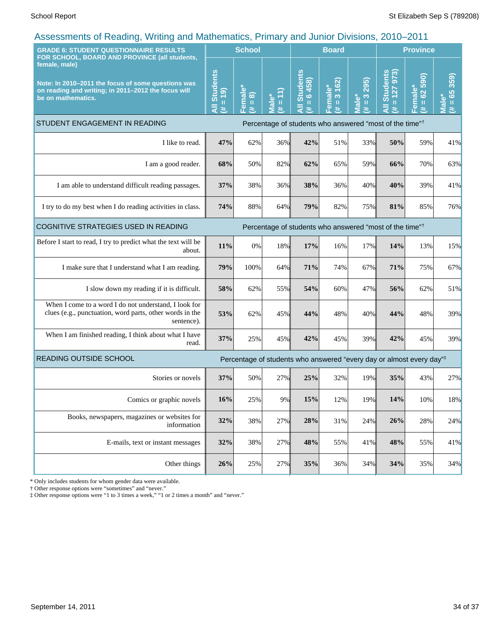| . ت<br><b>GRADE 6: STUDENT QUESTIONNAIRE RESULTS</b><br>FOR SCHOOL, BOARD AND PROVINCE (all students,                                            |     | <b>School</b>                                      |                                                                                                                                                                                                                                                                        | <b>Board</b>                                                                     |                                                  |                                                | <b>Province</b>                                         |                                           |                          |
|--------------------------------------------------------------------------------------------------------------------------------------------------|-----|----------------------------------------------------|------------------------------------------------------------------------------------------------------------------------------------------------------------------------------------------------------------------------------------------------------------------------|----------------------------------------------------------------------------------|--------------------------------------------------|------------------------------------------------|---------------------------------------------------------|-------------------------------------------|--------------------------|
| female, male)<br>Note: In 2010-2011 the focus of some questions was<br>on reading and writing; in 2011-2012 the focus will<br>be on mathematics. |     | emale<br>$\widehat{\infty}$<br>$\,$ II<br>巷<br>LĒ. | Male*<br>٣<br>$\mathbf{H}% =\mathbf{H}^{T}\mathbf{v}^{T}\mathbf{v}^{T}\mathbf{v}^{T}+\mathbf{H}^{T}\mathbf{v}^{T}\mathbf{v}^{T}+\mathbf{H}^{T}\mathbf{v}^{T}\mathbf{v}^{T}+\mathbf{H}^{T}\mathbf{v}^{T}\mathbf{v}^{T}+\mathbf{H}^{T}\mathbf{v}^{T}\mathbf{v}^{T}$<br>共 | <b>Students</b><br>$= 6458$<br>Ę<br>进                                            | 162)<br>emale*<br>$\infty$<br>$\,$ II<br>巷<br>L. | 295)<br>$\infty$<br>lale*<br>$\mathbf{H}$<br>共 | <b>Students</b><br>973)<br>127<br>$\mathbf u$<br>Ę<br>共 | 590)<br>Female*<br>62<br>$\mathbf H$<br>共 | 359)<br>$= 65$<br>Ī<br>进 |
| STUDENT ENGAGEMENT IN READING                                                                                                                    |     |                                                    |                                                                                                                                                                                                                                                                        | Percentage of students who answered "most of the time" <sup>†</sup>              |                                                  |                                                |                                                         |                                           |                          |
| I like to read.                                                                                                                                  | 47% | 62%                                                | 36%                                                                                                                                                                                                                                                                    | 42%                                                                              | 51%                                              | 33%                                            | 50%                                                     | 59%                                       | 41%                      |
| I am a good reader.                                                                                                                              | 68% | 50%                                                | 82%                                                                                                                                                                                                                                                                    | 62%                                                                              | 65%                                              | 59%                                            | 66%                                                     | 70%                                       | 63%                      |
| I am able to understand difficult reading passages.                                                                                              | 37% | 38%                                                | 36%                                                                                                                                                                                                                                                                    | 38%                                                                              | 36%                                              | 40%                                            | 40%                                                     | 39%                                       | 41%                      |
| I try to do my best when I do reading activities in class.                                                                                       | 74% | 88%                                                | 64%                                                                                                                                                                                                                                                                    | 79%                                                                              | 82%                                              | 75%                                            | 81%                                                     | 85%                                       | 76%                      |
| COGNITIVE STRATEGIES USED IN READING<br>Percentage of students who answered "most of the time" <sup>†</sup>                                      |     |                                                    |                                                                                                                                                                                                                                                                        |                                                                                  |                                                  |                                                |                                                         |                                           |                          |
| Before I start to read, I try to predict what the text will be<br>about.                                                                         | 11% | 0%                                                 | 18%                                                                                                                                                                                                                                                                    | 17%                                                                              | 16%                                              | 17%                                            | 14%                                                     | 13%                                       | 15%                      |
| I make sure that I understand what I am reading.                                                                                                 | 79% | 100%                                               | 64%                                                                                                                                                                                                                                                                    | 71%                                                                              | 74%                                              | 67%                                            | 71%                                                     | 75%                                       | 67%                      |
| I slow down my reading if it is difficult.                                                                                                       | 58% | 62%                                                | 55%                                                                                                                                                                                                                                                                    | 54%                                                                              | 60%                                              | 47%                                            | 56%                                                     | 62%                                       | 51%                      |
| When I come to a word I do not understand, I look for<br>clues (e.g., punctuation, word parts, other words in the<br>sentence).                  | 53% | 62%                                                | 45%                                                                                                                                                                                                                                                                    | 44%                                                                              | 48%                                              | 40%                                            | 44%                                                     | 48%                                       | 39%                      |
| When I am finished reading, I think about what I have<br>read.                                                                                   | 37% | 25%                                                | 45%                                                                                                                                                                                                                                                                    | 42%                                                                              | 45%                                              | 39%                                            | 42%                                                     | 45%                                       | 39%                      |
| <b>READING OUTSIDE SCHOOL</b>                                                                                                                    |     |                                                    |                                                                                                                                                                                                                                                                        | Percentage of students who answered "every day or almost every day" <sup>‡</sup> |                                                  |                                                |                                                         |                                           |                          |
| Stories or novels                                                                                                                                | 37% | 50%                                                | 27%                                                                                                                                                                                                                                                                    | 25%                                                                              | 32%                                              | 19%                                            | 35%                                                     | 43%                                       | 27%                      |
| Comics or graphic novels                                                                                                                         | 16% | 25%                                                | 9%                                                                                                                                                                                                                                                                     | 15%                                                                              | 12%                                              | 19%                                            | 14%                                                     | 10%                                       | 18%                      |
| Books, newspapers, magazines or websites for<br>information                                                                                      | 32% | 38%                                                | 27%                                                                                                                                                                                                                                                                    | 28%                                                                              | 31%                                              | 24%                                            | 26%                                                     | 28%                                       | 24%                      |
| E-mails, text or instant messages                                                                                                                | 32% | 38%                                                | 27%                                                                                                                                                                                                                                                                    | 48%                                                                              | 55%                                              | 41%                                            | 48%                                                     | 55%                                       | 41%                      |
| Other things                                                                                                                                     | 26% | 25%                                                | 27%                                                                                                                                                                                                                                                                    | 35%                                                                              | 36%                                              | 34%                                            | 34%                                                     | 35%                                       | 34%                      |

\* Only includes students for whom gender data were available.

† Other response options were "sometimes" and "never."

‡ Other response options were "1 to 3 times a week," "1 or 2 times a month" and "never."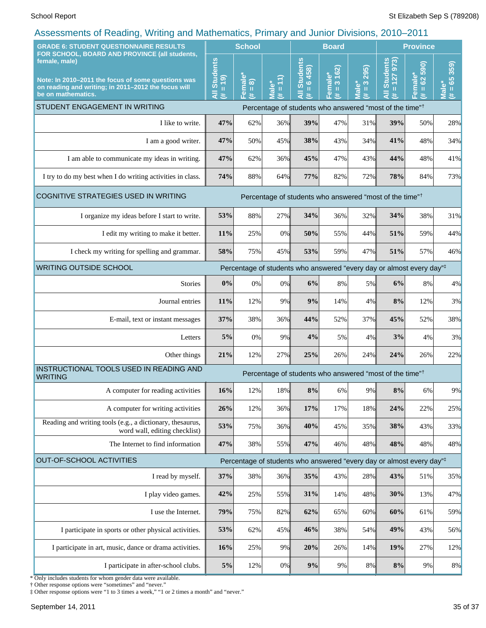| soccoon nonto on receding,<br><b>This is a contract of the contract of the contract of the contract of the contract of the contract of the contract of the contract of the contract of the contract of the contract of the contract of the contract of the con</b><br><b>GRADE 6: STUDENT QUESTIONNAIRE RESULTS</b> |                                    | <b>School</b>                                       |                                                              |                                                                          | $\frac{1}{2}$ $\frac{1}{2}$ $\frac{1}{2}$ $\frac{1}{2}$ $\frac{1}{2}$ $\frac{1}{2}$ $\frac{1}{2}$ $\frac{1}{2}$ $\frac{1}{2}$ $\frac{1}{2}$ $\frac{1}{2}$ $\frac{1}{2}$ $\frac{1}{2}$ $\frac{1}{2}$ $\frac{1}{2}$ $\frac{1}{2}$ $\frac{1}{2}$ $\frac{1}{2}$ $\frac{1}{2}$ $\frac{1}{2}$ $\frac{1}{2}$ $\frac{1}{2}$<br><b>Board</b> |                                            |                                                                                 | <b>Province</b>               |                                         |  |
|---------------------------------------------------------------------------------------------------------------------------------------------------------------------------------------------------------------------------------------------------------------------------------------------------------------------|------------------------------------|-----------------------------------------------------|--------------------------------------------------------------|--------------------------------------------------------------------------|-------------------------------------------------------------------------------------------------------------------------------------------------------------------------------------------------------------------------------------------------------------------------------------------------------------------------------------|--------------------------------------------|---------------------------------------------------------------------------------|-------------------------------|-----------------------------------------|--|
| FOR SCHOOL, BOARD AND PROVINCE (all students,<br>female, male)<br>Note: In 2010-2011 the focus of some questions was<br>on reading and writing; in 2011-2012 the focus will<br>be on mathematics.                                                                                                                   | <b>All Students</b><br>$= 19$<br>艺 | 'emale*<br>$\widehat{\infty}$<br>$\,$ II<br>医<br>ш. | $\overline{a}$<br>$\bullet$<br>$\rm{II}$<br><u>ie</u> N<br>巷 | <b>Students</b><br>6458<br>$\mathbf{I}$<br>$\bar{\bar{\mathbf{z}}}$<br>违 | 3 162)<br>Female*<br>Ш<br>违                                                                                                                                                                                                                                                                                                         | 295)<br>$\frac{3}{2}$<br><b>Male*</b><br>巷 | <b>Students</b><br>973)<br>127<br>$\mathbf{u}$<br>$\bar{\bar{\mathbf{z}}}$<br>共 | 590)<br>Female*<br>(# = 62 5; | 359)<br>65<br>Male<br>$\mathbf{u}$<br>违 |  |
| STUDENT ENGAGEMENT IN WRITING                                                                                                                                                                                                                                                                                       |                                    |                                                     |                                                              |                                                                          |                                                                                                                                                                                                                                                                                                                                     |                                            | Percentage of students who answered "most of the time" <sup>†</sup>             |                               |                                         |  |
| I like to write.                                                                                                                                                                                                                                                                                                    | 47%                                | 62%                                                 | 36%                                                          | 39%                                                                      | 47%                                                                                                                                                                                                                                                                                                                                 | 31%                                        | 39%                                                                             | 50%                           | 28%                                     |  |
| I am a good writer.                                                                                                                                                                                                                                                                                                 | 47%                                | 50%                                                 | 45%                                                          | 38%                                                                      | 43%                                                                                                                                                                                                                                                                                                                                 | 34%                                        | 41%                                                                             | 48%                           | 34%                                     |  |
| I am able to communicate my ideas in writing.                                                                                                                                                                                                                                                                       | 47%                                | 62%                                                 | 36%                                                          | 45%                                                                      | 47%                                                                                                                                                                                                                                                                                                                                 | 43%                                        | 44%                                                                             | 48%                           | 41%                                     |  |
| I try to do my best when I do writing activities in class.                                                                                                                                                                                                                                                          | 74%                                | 88%                                                 | 64%                                                          | 77%                                                                      | 82%                                                                                                                                                                                                                                                                                                                                 | 72%                                        | 78%                                                                             | 84%                           | 73%                                     |  |
| COGNITIVE STRATEGIES USED IN WRITING<br>Percentage of students who answered "most of the time" <sup>†</sup>                                                                                                                                                                                                         |                                    |                                                     |                                                              |                                                                          |                                                                                                                                                                                                                                                                                                                                     |                                            |                                                                                 |                               |                                         |  |
| I organize my ideas before I start to write.                                                                                                                                                                                                                                                                        | 53%                                | 88%                                                 | 27%                                                          | 34%                                                                      | 36%                                                                                                                                                                                                                                                                                                                                 | 32%                                        | 34%                                                                             | 38%                           | 31%                                     |  |
| I edit my writing to make it better.                                                                                                                                                                                                                                                                                | 11%                                | 25%                                                 | 0%                                                           | 50%                                                                      | 55%                                                                                                                                                                                                                                                                                                                                 | 44%                                        | 51%                                                                             | 59%                           | 44%                                     |  |
| I check my writing for spelling and grammar.                                                                                                                                                                                                                                                                        | 58%                                | 75%                                                 | 45%                                                          | 53%                                                                      | 59%                                                                                                                                                                                                                                                                                                                                 | 47%                                        | 51%                                                                             | 57%                           | 46%                                     |  |
| <b>WRITING OUTSIDE SCHOOL</b><br>Percentage of students who answered "every day or almost every day" <sup>‡</sup>                                                                                                                                                                                                   |                                    |                                                     |                                                              |                                                                          |                                                                                                                                                                                                                                                                                                                                     |                                            |                                                                                 |                               |                                         |  |
| <b>Stories</b>                                                                                                                                                                                                                                                                                                      | $0\%$                              | 0%                                                  | 0%                                                           | 6%                                                                       | 8%                                                                                                                                                                                                                                                                                                                                  | 5%                                         | 6%                                                                              | 8%                            | 4%                                      |  |
| Journal entries                                                                                                                                                                                                                                                                                                     | 11%                                | 12%                                                 | 9%                                                           | 9%                                                                       | 14%                                                                                                                                                                                                                                                                                                                                 | 4%                                         | 8%                                                                              | 12%                           | 3%                                      |  |
| E-mail, text or instant messages                                                                                                                                                                                                                                                                                    | 37%                                | 38%                                                 | 36%                                                          | 44%                                                                      | 52%                                                                                                                                                                                                                                                                                                                                 | 37%                                        | 45%                                                                             | 52%                           | 38%                                     |  |
| Letters                                                                                                                                                                                                                                                                                                             | 5%                                 | 0%                                                  | 9%                                                           | 4%                                                                       | 5%                                                                                                                                                                                                                                                                                                                                  | 4%                                         | 3%                                                                              | 4%                            | 3%                                      |  |
| Other things                                                                                                                                                                                                                                                                                                        | 21%                                | 12%                                                 | 27%                                                          | 25%                                                                      | 26%                                                                                                                                                                                                                                                                                                                                 | 24%                                        | 24%                                                                             | 26%                           | 22%                                     |  |
| INSTRUCTIONAL TOOLS USED IN READING AND<br>Percentage of students who answered "most of the time" <sup>†</sup><br><b>WRITING</b>                                                                                                                                                                                    |                                    |                                                     |                                                              |                                                                          |                                                                                                                                                                                                                                                                                                                                     |                                            |                                                                                 |                               |                                         |  |
| A computer for reading activities                                                                                                                                                                                                                                                                                   | 16%                                | 12%                                                 | 18%                                                          | $8\%$                                                                    | 6%                                                                                                                                                                                                                                                                                                                                  | 9%                                         | 8%                                                                              | 6%                            | 9%                                      |  |
| A computer for writing activities                                                                                                                                                                                                                                                                                   | 26%                                | 12%                                                 | 36%                                                          | 17%                                                                      | 17%                                                                                                                                                                                                                                                                                                                                 | 18%                                        | 24%                                                                             | 22%                           | 25%                                     |  |
| Reading and writing tools (e.g., a dictionary, thesaurus,<br>word wall, editing checklist)                                                                                                                                                                                                                          | 53%                                | 75%                                                 | 36%                                                          | 40%                                                                      | 45%                                                                                                                                                                                                                                                                                                                                 | 35%                                        | 38%                                                                             | 43%                           | 33%                                     |  |
| The Internet to find information                                                                                                                                                                                                                                                                                    | 47%                                | 38%                                                 | 55%                                                          | 47%                                                                      | 46%                                                                                                                                                                                                                                                                                                                                 | 48%                                        | 48%                                                                             | 48%                           | 48%                                     |  |
| OUT-OF-SCHOOL ACTIVITIES<br>Percentage of students who answered "every day or almost every day" <sup>‡</sup>                                                                                                                                                                                                        |                                    |                                                     |                                                              |                                                                          |                                                                                                                                                                                                                                                                                                                                     |                                            |                                                                                 |                               |                                         |  |
| I read by myself.                                                                                                                                                                                                                                                                                                   | 37%                                | 38%                                                 | 36%                                                          | 35%                                                                      | 43%                                                                                                                                                                                                                                                                                                                                 | 28%                                        | 43%                                                                             | 51%                           | 35%                                     |  |
| I play video games.                                                                                                                                                                                                                                                                                                 | 42%                                | 25%                                                 | 55%                                                          | 31%                                                                      | 14%                                                                                                                                                                                                                                                                                                                                 | 48%                                        | 30%                                                                             | 13%                           | 47%                                     |  |
| I use the Internet.                                                                                                                                                                                                                                                                                                 | 79%                                | 75%                                                 | 82%                                                          | 62%                                                                      | 65%                                                                                                                                                                                                                                                                                                                                 | 60%                                        | 60%                                                                             | 61%                           | 59%                                     |  |
| I participate in sports or other physical activities.                                                                                                                                                                                                                                                               | 53%                                | 62%                                                 | 45%                                                          | 46%                                                                      | 38%                                                                                                                                                                                                                                                                                                                                 | 54%                                        | 49%                                                                             | 43%                           | 56%                                     |  |
| I participate in art, music, dance or drama activities.                                                                                                                                                                                                                                                             | 16%                                | 25%                                                 | 9%                                                           | 20%                                                                      | 26%                                                                                                                                                                                                                                                                                                                                 | 14%                                        | 19%                                                                             | 27%                           | 12%                                     |  |
| I participate in after-school clubs.                                                                                                                                                                                                                                                                                |                                    | 12%                                                 | $0\%$                                                        | $9\%$                                                                    | 9%                                                                                                                                                                                                                                                                                                                                  | 8%                                         | 8%                                                                              | 9%                            | $8\%$                                   |  |

\* Only includes students for whom gender data were available.

† Other response options were "sometimes" and "never." ‡ Other response options were "1 to 3 times a week," "1 or 2 times a month" and "never."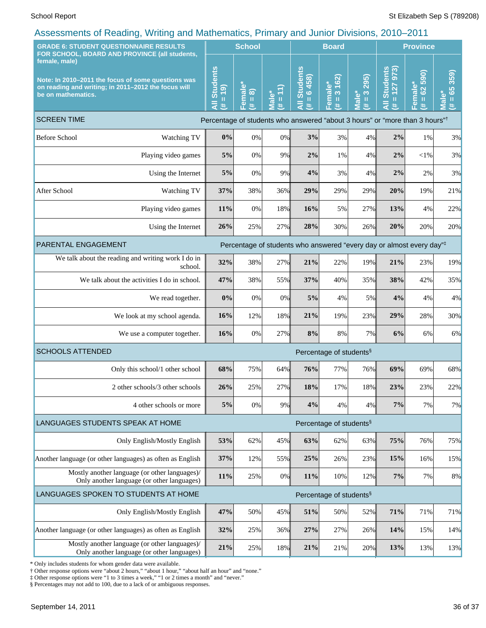| <b>GRADE 6: STUDENT QUESTIONNAIRE RESULTS</b><br>FOR SCHOOL, BOARD AND PROVINCE (all students,                                                   |                                                                                             | <b>School</b>                                                                           |                                               |                        | <b>Board</b>                                               |                                                                                                                                                                                                                                                                               |                                               | <b>Province</b>                                                                                                                                                                                                    |                                                  |                                                        |
|--------------------------------------------------------------------------------------------------------------------------------------------------|---------------------------------------------------------------------------------------------|-----------------------------------------------------------------------------------------|-----------------------------------------------|------------------------|------------------------------------------------------------|-------------------------------------------------------------------------------------------------------------------------------------------------------------------------------------------------------------------------------------------------------------------------------|-----------------------------------------------|--------------------------------------------------------------------------------------------------------------------------------------------------------------------------------------------------------------------|--------------------------------------------------|--------------------------------------------------------|
| female, male)<br>Note: In 2010-2011 the focus of some questions was<br>on reading and writing; in 2011-2012 the focus will<br>be on mathematics. |                                                                                             | <b>Students</b><br>(61)<br>$\mathbf{H}$<br>Ę<br>共                                       | Female*<br>$\widehat{\infty}$<br>$\rm H$<br>违 | Ē<br><b>Male*</b><br>违 | <b>Students</b><br>6458)<br>$\mathbf{u}$<br>$\bar{a}$<br>进 | 3 162)<br>Female*<br>$\mathbf{H}% =\mathbf{H}^{T}\mathbf{v}^{T}\mathbf{v}^{T}\mathbf{v}^{T}+\mathbf{H}^{T}\mathbf{v}^{T}\mathbf{v}^{T}+\mathbf{H}^{T}\mathbf{v}^{T}\mathbf{v}^{T}+\mathbf{H}^{T}\mathbf{v}^{T}\mathbf{v}^{T}+\mathbf{H}^{T}\mathbf{v}^{T}\mathbf{v}^{T}$<br>违 | 295)<br>$\overline{\mathbf{3}}$<br>Male*<br>违 | 127 973<br><b>Students</b><br>$\mathbf{H}% =\mathbf{H}^{T}\mathbf{v}^{T}\mathbf{v}^{T}\mathbf{v}^{T}+\mathbf{H}^{T}\mathbf{v}^{T}\mathbf{v}^{T}+\mathbf{H}^{T}\mathbf{v}^{T}\mathbf{v}^{T}$<br>$\overline{a}$<br>进 | 590)<br>Female*<br>$\mathbf{S}^2$<br>$\,$ H<br>进 | 359)<br>65<br>$\bullet$<br>$\mathbf{u}$<br>_<br>Σ<br>进 |
| <b>SCREEN TIME</b>                                                                                                                               |                                                                                             | Percentage of students who answered "about 3 hours" or "more than 3 hours" <sup>†</sup> |                                               |                        |                                                            |                                                                                                                                                                                                                                                                               |                                               |                                                                                                                                                                                                                    |                                                  |                                                        |
| <b>Before School</b>                                                                                                                             | Watching TV                                                                                 | 0%                                                                                      | $0\%$                                         | 0%                     | 3%                                                         | 3%                                                                                                                                                                                                                                                                            | 4%                                            | 2%                                                                                                                                                                                                                 | 1%                                               | 3%                                                     |
|                                                                                                                                                  | Playing video games                                                                         | 5%                                                                                      | 0%                                            | 9%                     | $2\%$                                                      | 1%                                                                                                                                                                                                                                                                            | 4%                                            | 2%                                                                                                                                                                                                                 | $<$ 1%                                           | 3%                                                     |
|                                                                                                                                                  | Using the Internet                                                                          | 5%                                                                                      | 0%                                            | 9%                     | 4%                                                         | 3%                                                                                                                                                                                                                                                                            | 4%                                            | 2%                                                                                                                                                                                                                 | 2%                                               | 3%                                                     |
| After School                                                                                                                                     | Watching TV                                                                                 | 37%                                                                                     | 38%                                           | 36%                    | 29%                                                        | 29%                                                                                                                                                                                                                                                                           | 29%                                           | 20%                                                                                                                                                                                                                | 19%                                              | 21%                                                    |
|                                                                                                                                                  | Playing video games                                                                         | 11%                                                                                     | 0%                                            | 18%                    | 16%                                                        | 5%                                                                                                                                                                                                                                                                            | 27%                                           | 13%                                                                                                                                                                                                                | 4%                                               | 22%                                                    |
|                                                                                                                                                  | Using the Internet                                                                          | 26%                                                                                     | 25%                                           | 27%                    | 28%                                                        | 30%                                                                                                                                                                                                                                                                           | 26%                                           | 20%                                                                                                                                                                                                                | 20%                                              | 20%                                                    |
| PARENTAL ENGAGEMENT<br>Percentage of students who answered "every day or almost every day"#                                                      |                                                                                             |                                                                                         |                                               |                        |                                                            |                                                                                                                                                                                                                                                                               |                                               |                                                                                                                                                                                                                    |                                                  |                                                        |
|                                                                                                                                                  | We talk about the reading and writing work I do in<br>school.                               | 32%                                                                                     | 38%                                           | 27%                    | 21%                                                        | 22%                                                                                                                                                                                                                                                                           | 19%                                           | 21%                                                                                                                                                                                                                | 23%                                              | 19%                                                    |
|                                                                                                                                                  | We talk about the activities I do in school.                                                | 47%                                                                                     | 38%                                           | 55%                    | 37%                                                        | 40%                                                                                                                                                                                                                                                                           | 35%                                           | 38%                                                                                                                                                                                                                | 42%                                              | 35%                                                    |
|                                                                                                                                                  | We read together.                                                                           | 0%                                                                                      | 0%                                            | 0%                     | 5%                                                         | 4%                                                                                                                                                                                                                                                                            | 5%                                            | 4%                                                                                                                                                                                                                 | 4%                                               | 4%                                                     |
|                                                                                                                                                  | We look at my school agenda.                                                                | 16%                                                                                     | 12%                                           | 18%                    | 21%                                                        | 19%                                                                                                                                                                                                                                                                           | 23%                                           | 29%                                                                                                                                                                                                                | 28%                                              | 30%                                                    |
| We use a computer together.                                                                                                                      |                                                                                             | 16%                                                                                     | 0%                                            | 27%                    | 8%                                                         | 8%                                                                                                                                                                                                                                                                            | 7%                                            | 6%                                                                                                                                                                                                                 | 6%                                               | 6%                                                     |
| <b>SCHOOLS ATTENDED</b>                                                                                                                          |                                                                                             |                                                                                         |                                               |                        |                                                            | Percentage of students <sup>§</sup>                                                                                                                                                                                                                                           |                                               |                                                                                                                                                                                                                    |                                                  |                                                        |
|                                                                                                                                                  | Only this school/1 other school                                                             | 68%                                                                                     | 75%                                           | 64%                    | 76%                                                        | 77%                                                                                                                                                                                                                                                                           | 76%                                           | 69%                                                                                                                                                                                                                | 69%                                              | 68%                                                    |
|                                                                                                                                                  | 2 other schools/3 other schools                                                             | 26%                                                                                     | 25%                                           | 27%                    | 18%                                                        | 17%                                                                                                                                                                                                                                                                           | 18%                                           | 23%                                                                                                                                                                                                                | 23%                                              | 22%                                                    |
|                                                                                                                                                  | 4 other schools or more                                                                     | 5%                                                                                      | $0\%$                                         | 9%                     | 4%                                                         | 4%                                                                                                                                                                                                                                                                            | 4%                                            | 7%                                                                                                                                                                                                                 | 7%                                               | 7%                                                     |
| LANGUAGES STUDENTS SPEAK AT HOME<br>Percentage of students <sup>§</sup>                                                                          |                                                                                             |                                                                                         |                                               |                        |                                                            |                                                                                                                                                                                                                                                                               |                                               |                                                                                                                                                                                                                    |                                                  |                                                        |
|                                                                                                                                                  | Only English/Mostly English                                                                 | 53%                                                                                     | 62%                                           | 45%                    | 63%                                                        | 62%                                                                                                                                                                                                                                                                           | 63%                                           | 75%                                                                                                                                                                                                                | 76%                                              | 75%                                                    |
| Another language (or other languages) as often as English                                                                                        |                                                                                             | 37%                                                                                     | 12%                                           | 55%                    | 25%                                                        | 26%                                                                                                                                                                                                                                                                           | 23%                                           | 15%                                                                                                                                                                                                                | 16%                                              | 15%                                                    |
|                                                                                                                                                  | Mostly another language (or other languages)/<br>Only another language (or other languages) | 11%                                                                                     | 25%                                           | 0%                     | 11%                                                        | 10%                                                                                                                                                                                                                                                                           | 12%                                           | $7\%$                                                                                                                                                                                                              | 7%                                               | 8%                                                     |
|                                                                                                                                                  | LANGUAGES SPOKEN TO STUDENTS AT HOME<br>Percentage of students <sup>§</sup>                 |                                                                                         |                                               |                        |                                                            |                                                                                                                                                                                                                                                                               |                                               |                                                                                                                                                                                                                    |                                                  |                                                        |
|                                                                                                                                                  | Only English/Mostly English                                                                 | 47%                                                                                     | 50%                                           | 45%                    | 51%                                                        | 50%                                                                                                                                                                                                                                                                           | 52%                                           | 71%                                                                                                                                                                                                                | 71%                                              | 71%                                                    |
| Another language (or other languages) as often as English                                                                                        |                                                                                             | 32%                                                                                     | 25%                                           | 36%                    | 27%                                                        | 27%                                                                                                                                                                                                                                                                           | 26%                                           | 14%                                                                                                                                                                                                                | 15%                                              | 14%                                                    |
| Mostly another language (or other languages)/<br>Only another language (or other languages)                                                      |                                                                                             | 21%                                                                                     | 25%                                           | 18%                    | 21%                                                        | 21%                                                                                                                                                                                                                                                                           | 20%                                           | 13%                                                                                                                                                                                                                | 13%                                              | 13%                                                    |

\* Only includes students for whom gender data were available.

† Other response options were "about 2 hours," "about 1 hour," "about half an hour" and "none."

‡ Other response options were "1 to 3 times a week," "1 or 2 times a month" and "never."

§ Percentages may not add to 100, due to a lack of or ambiguous responses.